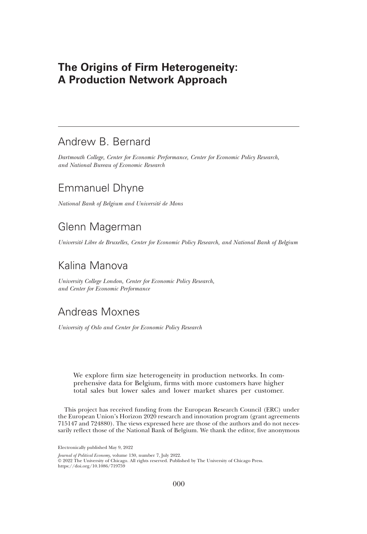# The Origins of Firm Heterogeneity: A Production Network Approach

# Andrew B. Bernard

Dartmouth College, Center for Economic Performance, Center for Economic Policy Research, and National Bureau of Economic Research

# Emmanuel Dhyne

National Bank of Belgium and Université de Mons

# Glenn Magerman

Université Libre de Bruxelles, Center for Economic Policy Research, and National Bank of Belgium

# Kalina Manova

University College London, Center for Economic Policy Research, and Center for Economic Performance

# Andreas Moxnes

University of Oslo and Center for Economic Policy Research

We explore firm size heterogeneity in production networks. In comprehensive data for Belgium, firms with more customers have higher total sales but lower sales and lower market shares per customer.

This project has received funding from the European Research Council (ERC) under the European Union's Horizon 2020 research and innovation program (grant agreements 715147 and 724880). The views expressed here are those of the authors and do not necessarily reflect those of the National Bank of Belgium. We thank the editor, five anonymous

Electronically published May 9, 2022

Journal of Political Economy, volume 130, number 7, July 2022.

© 2022 The University of Chicago. All rights reserved. Published by The University of Chicago Press. <https://doi.org/10.1086/719759>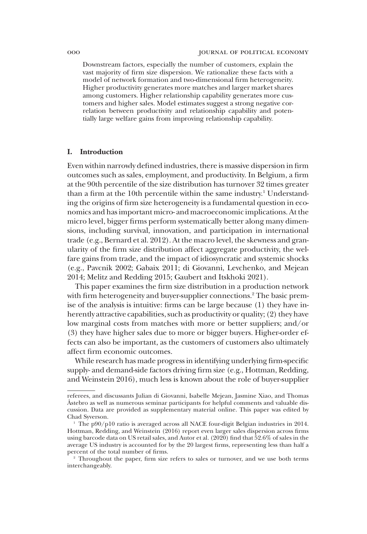Downstream factors, especially the number of customers, explain the vast majority of firm size dispersion. We rationalize these facts with a model of network formation and two-dimensional firm heterogeneity. Higher productivity generates more matches and larger market shares among customers. Higher relationship capability generates more customers and higher sales. Model estimates suggest a strong negative correlation between productivity and relationship capability and potentially large welfare gains from improving relationship capability.

# I. Introduction

Even within narrowly defined industries, there is massive dispersion in firm outcomes such as sales, employment, and productivity. In Belgium, a firm at the 90th percentile of the size distribution has turnover 32 times greater than a firm at the 10th percentile within the same industry.<sup>1</sup> Understanding the origins of firm size heterogeneity is a fundamental question in economics and has important micro- and macroeconomic implications. At the micro level, bigger firms perform systematically better along many dimensions, including survival, innovation, and participation in international trade (e.g., Bernard et al. 2012). At the macro level, the skewness and granularity of the firm size distribution affect aggregate productivity, the welfare gains from trade, and the impact of idiosyncratic and systemic shocks (e.g., Pavcnik 2002; Gabaix 2011; di Giovanni, Levchenko, and Mejean 2014; Melitz and Redding 2015; Gaubert and Itskhoki 2021).

This paper examines the firm size distribution in a production network with firm heterogeneity and buyer-supplier connections.<sup>2</sup> The basic premise of the analysis is intuitive: firms can be large because (1) they have inherently attractive capabilities, such as productivity or quality; (2) they have low marginal costs from matches with more or better suppliers; and/or (3) they have higher sales due to more or bigger buyers. Higher-order effects can also be important, as the customers of customers also ultimately affect firm economic outcomes.

While research has made progress in identifying underlying firm-specific supply- and demand-side factors driving firm size (e.g., Hottman, Redding, and Weinstein 2016), much less is known about the role of buyer-supplier

referees, and discussants Julian di Giovanni, Isabelle Mejean, Jasmine Xiao, and Thomas Åstebro as well as numerous seminar participants for helpful comments and valuable discussion. Data are provided as supplementary material online. This paper was edited by Chad Syverson.

<sup>&</sup>lt;sup>1</sup> The p90/p10 ratio is averaged across all NACE four-digit Belgian industries in 2014. Hottman, Redding, and Weinstein (2016) report even larger sales dispersion across firms using barcode data on US retail sales, and Autor et al.  $(2020)$  find that 52.6% of sales in the average US industry is accounted for by the 20 largest firms, representing less than half a percent of the total number of firms.

<sup>2</sup> Throughout the paper, firm size refers to sales or turnover, and we use both terms interchangeably.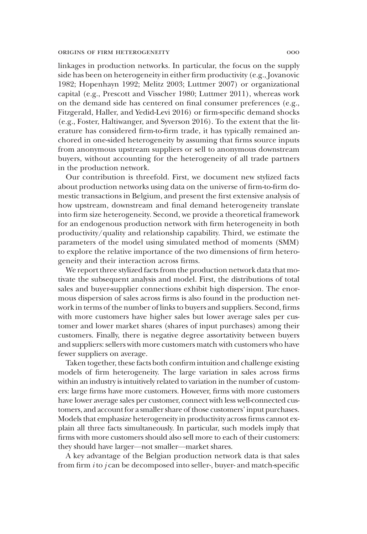linkages in production networks. In particular, the focus on the supply side has been on heterogeneity in either firm productivity (e.g., Jovanovic 1982; Hopenhayn 1992; Melitz 2003; Luttmer 2007) or organizational capital (e.g., Prescott and Visscher 1980; Luttmer 2011), whereas work on the demand side has centered on final consumer preferences (e.g., Fitzgerald, Haller, and Yedid-Levi 2016) or firm-specific demand shocks (e.g., Foster, Haltiwanger, and Syverson 2016). To the extent that the literature has considered firm-to-firm trade, it has typically remained anchored in one-sided heterogeneity by assuming that firms source inputs from anonymous upstream suppliers or sell to anonymous downstream buyers, without accounting for the heterogeneity of all trade partners in the production network.

Our contribution is threefold. First, we document new stylized facts about production networks using data on the universe of firm-to-firm domestic transactions in Belgium, and present the first extensive analysis of how upstream, downstream and final demand heterogeneity translate into firm size heterogeneity. Second, we provide a theoretical framework for an endogenous production network with firm heterogeneity in both productivity/quality and relationship capability. Third, we estimate the parameters of the model using simulated method of moments (SMM) to explore the relative importance of the two dimensions of firm heterogeneity and their interaction across firms.

We report three stylized facts from the production network data that motivate the subsequent analysis and model. First, the distributions of total sales and buyer-supplier connections exhibit high dispersion. The enormous dispersion of sales across firms is also found in the production network in terms of the number of links to buyers and suppliers. Second, firms with more customers have higher sales but lower average sales per customer and lower market shares (shares of input purchases) among their customers. Finally, there is negative degree assortativity between buyers and suppliers: sellers with more customers match with customers who have fewer suppliers on average.

Taken together, these facts both confirm intuition and challenge existing models of firm heterogeneity. The large variation in sales across firms within an industry is intuitively related to variation in the number of customers: large firms have more customers. However, firms with more customers have lower average sales per customer, connect with less well-connected customers, and account for a smaller share of those customers' input purchases. Models that emphasize heterogeneity in productivity across firms cannot explain all three facts simultaneously. In particular, such models imply that firms with more customers should also sell more to each of their customers: they should have larger—not smaller—market shares.

A key advantage of the Belgian production network data is that sales from firm  $i$  to  $j$  can be decomposed into seller-, buyer- and match-specific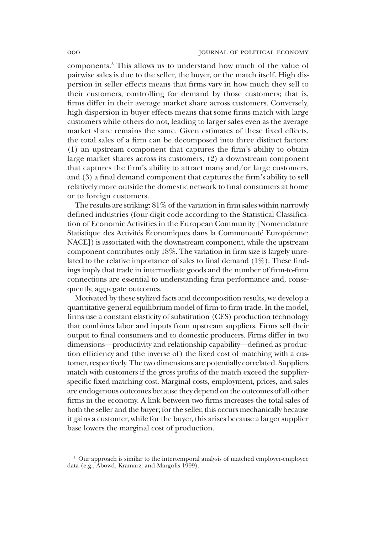components.3 This allows us to understand how much of the value of pairwise sales is due to the seller, the buyer, or the match itself. High dispersion in seller effects means that firms vary in how much they sell to their customers, controlling for demand by those customers; that is, firms differ in their average market share across customers. Conversely, high dispersion in buyer effects means that some firms match with large customers while others do not, leading to larger sales even as the average market share remains the same. Given estimates of these fixed effects, the total sales of a firm can be decomposed into three distinct factors: (1) an upstream component that captures the firm's ability to obtain large market shares across its customers, (2) a downstream component that captures the firm's ability to attract many and/or large customers, and (3) a final demand component that captures the firm's ability to sell relatively more outside the domestic network to final consumers at home or to foreign customers.

The results are striking: 81% of the variation in firm sales within narrowly defined industries (four-digit code according to the Statistical Classification of Economic Activities in the European Community [Nomenclature Statistique des Activités Économiques dans la Communauté Européenne; NACE]) is associated with the downstream component, while the upstream component contributes only 18%. The variation in firm size is largely unrelated to the relative importance of sales to final demand (1%). These findings imply that trade in intermediate goods and the number of firm-to-firm connections are essential to understanding firm performance and, consequently, aggregate outcomes.

Motivated by these stylized facts and decomposition results, we develop a quantitative general equilibrium model of firm-to-firm trade. In the model, firms use a constant elasticity of substitution (CES) production technology that combines labor and inputs from upstream suppliers. Firms sell their output to final consumers and to domestic producers. Firms differ in two dimensions—productivity and relationship capability—defined as production efficiency and (the inverse of) the fixed cost of matching with a customer, respectively. The two dimensions are potentially correlated. Suppliers match with customers if the gross profits of the match exceed the supplierspecific fixed matching cost. Marginal costs, employment, prices, and sales are endogenous outcomes because they depend on the outcomes of all other firms in the economy. A link between two firms increases the total sales of both the seller and the buyer; for the seller, this occurs mechanically because it gains a customer, while for the buyer, this arises because a larger supplier base lowers the marginal cost of production.

<sup>&</sup>lt;sup>3</sup> Our approach is similar to the intertemporal analysis of matched employer-employee data (e.g., Abowd, Kramarz, and Margolis 1999).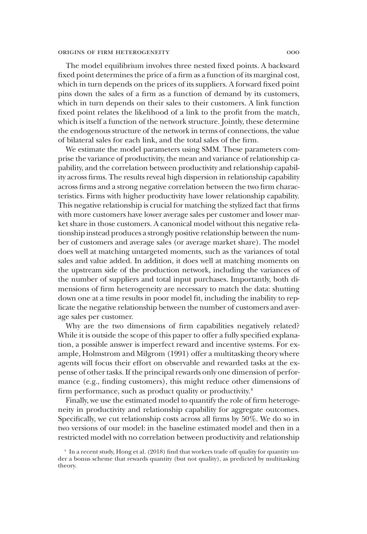The model equilibrium involves three nested fixed points. A backward fixed point determines the price of a firm as a function of its marginal cost, which in turn depends on the prices of its suppliers. A forward fixed point pins down the sales of a firm as a function of demand by its customers, which in turn depends on their sales to their customers. A link function fixed point relates the likelihood of a link to the profit from the match, which is itself a function of the network structure. Jointly, these determine the endogenous structure of the network in terms of connections, the value of bilateral sales for each link, and the total sales of the firm.

We estimate the model parameters using SMM. These parameters comprise the variance of productivity, the mean and variance of relationship capability, and the correlation between productivity and relationship capability across firms. The results reveal high dispersion in relationship capability across firms and a strong negative correlation between the two firm characteristics. Firms with higher productivity have lower relationship capability. This negative relationship is crucial for matching the stylized fact that firms with more customers have lower average sales per customer and lower market share in those customers. A canonical model without this negative relationship instead produces a strongly positive relationship between the number of customers and average sales (or average market share). The model does well at matching untargeted moments, such as the variances of total sales and value added. In addition, it does well at matching moments on the upstream side of the production network, including the variances of the number of suppliers and total input purchases. Importantly, both dimensions of firm heterogeneity are necessary to match the data: shutting down one at a time results in poor model fit, including the inability to replicate the negative relationship between the number of customers and average sales per customer.

Why are the two dimensions of firm capabilities negatively related? While it is outside the scope of this paper to offer a fully specified explanation, a possible answer is imperfect reward and incentive systems. For example, Holmstrom and Milgrom (1991) offer a multitasking theory where agents will focus their effort on observable and rewarded tasks at the expense of other tasks. If the principal rewards only one dimension of performance (e.g., finding customers), this might reduce other dimensions of firm performance, such as product quality or productivity.<sup>4</sup>

Finally, we use the estimated model to quantify the role of firm heterogeneity in productivity and relationship capability for aggregate outcomes. Specifically, we cut relationship costs across all firms by 50%. We do so in two versions of our model: in the baseline estimated model and then in a restricted model with no correlation between productivity and relationship

<sup>4</sup> In a recent study, Hong et al. (2018) find that workers trade off quality for quantity under a bonus scheme that rewards quantity (but not quality), as predicted by multitasking theory.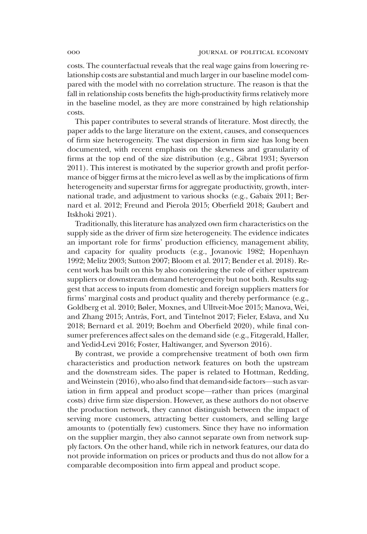costs. The counterfactual reveals that the real wage gains from lowering relationship costs are substantial and much larger in our baseline model compared with the model with no correlation structure. The reason is that the fall in relationship costs benefits the high-productivity firms relatively more in the baseline model, as they are more constrained by high relationship costs.

This paper contributes to several strands of literature. Most directly, the paper adds to the large literature on the extent, causes, and consequences of firm size heterogeneity. The vast dispersion in firm size has long been documented, with recent emphasis on the skewness and granularity of firms at the top end of the size distribution (e.g., Gibrat 1931; Syverson 2011). This interest is motivated by the superior growth and profit performance of bigger firms at the micro level as well as by the implications of firm heterogeneity and superstar firms for aggregate productivity, growth, international trade, and adjustment to various shocks (e.g., Gabaix 2011; Bernard et al. 2012; Freund and Pierola 2015; Oberfield 2018; Gaubert and Itskhoki 2021).

Traditionally, this literature has analyzed own firm characteristics on the supply side as the driver of firm size heterogeneity. The evidence indicates an important role for firms' production efficiency, management ability, and capacity for quality products (e.g., Jovanovic 1982; Hopenhayn 1992; Melitz 2003; Sutton 2007; Bloom et al. 2017; Bender et al. 2018). Recent work has built on this by also considering the role of either upstream suppliers or downstream demand heterogeneity but not both. Results suggest that access to inputs from domestic and foreign suppliers matters for firms' marginal costs and product quality and thereby performance (e.g., Goldberg et al. 2010; Bøler, Moxnes, and Ulltveit-Moe 2015; Manova, Wei, and Zhang 2015; Antràs, Fort, and Tintelnot 2017; Fieler, Eslava, and Xu 2018; Bernard et al. 2019; Boehm and Oberfield 2020), while final consumer preferences affect sales on the demand side (e.g., Fitzgerald, Haller, and Yedid-Levi 2016; Foster, Haltiwanger, and Syverson 2016).

By contrast, we provide a comprehensive treatment of both own firm characteristics and production network features on both the upstream and the downstream sides. The paper is related to Hottman, Redding, and Weinstein (2016), who also find that demand-side factors—such as variation in firm appeal and product scope—rather than prices (marginal costs) drive firm size dispersion. However, as these authors do not observe the production network, they cannot distinguish between the impact of serving more customers, attracting better customers, and selling large amounts to (potentially few) customers. Since they have no information on the supplier margin, they also cannot separate own from network supply factors. On the other hand, while rich in network features, our data do not provide information on prices or products and thus do not allow for a comparable decomposition into firm appeal and product scope.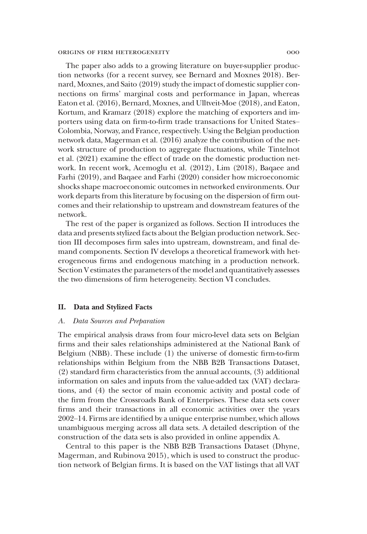The paper also adds to a growing literature on buyer-supplier production networks (for a recent survey, see Bernard and Moxnes 2018). Bernard, Moxnes, and Saito (2019) study the impact of domestic supplier connections on firms' marginal costs and performance in Japan, whereas Eaton et al. (2016), Bernard, Moxnes, and Ulltveit-Moe (2018), and Eaton, Kortum, and Kramarz (2018) explore the matching of exporters and importers using data on firm-to-firm trade transactions for United States– Colombia, Norway, and France, respectively. Using the Belgian production network data, Magerman et al. (2016) analyze the contribution of the network structure of production to aggregate fluctuations, while Tintelnot et al. (2021) examine the effect of trade on the domestic production network. In recent work, Acemoglu et al. (2012), Lim (2018), Baqaee and Farhi (2019), and Baqaee and Farhi (2020) consider how microeconomic shocks shape macroeconomic outcomes in networked environments. Our work departs from this literature by focusing on the dispersion of firm outcomes and their relationship to upstream and downstream features of the network.

The rest of the paper is organized as follows. Section II introduces the data and presents stylized facts about the Belgian production network. Section III decomposes firm sales into upstream, downstream, and final demand components. Section IV develops a theoretical framework with heterogeneous firms and endogenous matching in a production network. Section V estimates the parameters of the model and quantitatively assesses the two dimensions of firm heterogeneity. Section VI concludes.

# II. Data and Stylized Facts

# A. Data Sources and Preparation

The empirical analysis draws from four micro-level data sets on Belgian firms and their sales relationships administered at the National Bank of Belgium (NBB). These include (1) the universe of domestic firm-to-firm relationships within Belgium from the NBB B2B Transactions Dataset, (2) standard firm characteristics from the annual accounts, (3) additional information on sales and inputs from the value-added tax (VAT) declarations, and (4) the sector of main economic activity and postal code of the firm from the Crossroads Bank of Enterprises. These data sets cover firms and their transactions in all economic activities over the years 2002–14. Firms are identified by a unique enterprise number, which allows unambiguous merging across all data sets. A detailed description of the construction of the data sets is also provided in online appendix A.

Central to this paper is the NBB B2B Transactions Dataset (Dhyne, Magerman, and Rubinova 2015), which is used to construct the production network of Belgian firms. It is based on the VAT listings that all VAT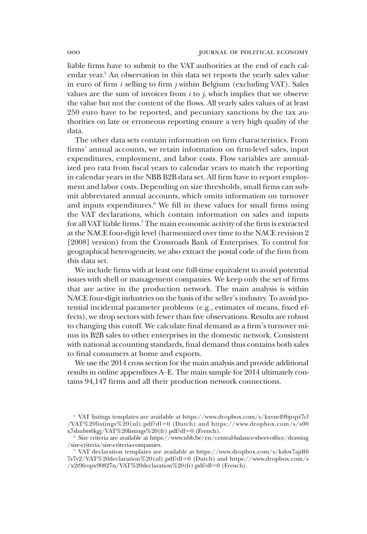liable firms have to submit to the VAT authorities at the end of each calendar year.5 An observation in this data set reports the yearly sales value in euro of firm  $i$  selling to firm  $j$  within Belgium (excluding VAT). Sales values are the sum of invoices from  $i$  to  $j$ , which implies that we observe the value but not the content of the flows. All yearly sales values of at least 250 euro have to be reported, and pecuniary sanctions by the tax authorities on late or erroneous reporting ensure a very high quality of the data.

The other data sets contain information on firm characteristics. From firms' annual accounts, we retain information on firm-level sales, input expenditures, employment, and labor costs. Flow variables are annualized pro rata from fiscal years to calendar years to match the reporting in calendar years in the NBB B2B data set. All firm have to report employment and labor costs. Depending on size thresholds, small firms can submit abbreviated annual accounts, which omits information on turnover and inputs expenditures.<sup>6</sup> We fill in these values for small firms using the VAT declarations, which contain information on sales and inputs for all VAT liable firms.<sup>7</sup> The main economic activity of the firm is extracted at the NACE four-digit level (harmonized over time to the NACE revision 2 [2008] version) from the Crossroads Bank of Enterprises. To control for geographical heterogeneity, we also extract the postal code of the firm from this data set.

We include firms with at least one full-time equivalent to avoid potential issues with shell or management companies. We keep only the set of firms that are active in the production network. The main analysis is within NACE four-digit industries on the basis of the seller's industry. To avoid potential incidental parameter problems (e.g., estimates of means, fixed effects), we drop sectors with fewer than five observations. Results are robust to changing this cutoff. We calculate final demand as a firm's turnover minus its B2B sales to other enterprises in the domestic network. Consistent with national accounting standards, final demand thus contains both sales to final consumers at home and exports.

We use the 2014 cross section for the main analysis and provide additional results in online appendixes A–E. The main sample for 2014 ultimately contains 94,147 firms and all their production network connections.

<sup>5</sup> VAT listings templates are available at [https://www.dropbox.com/s/kxvm49bjrqyi7cl](https://www.dropbox.com/s/kxvm49bjrqyi7cl/VAT%20listings%20(nl).pdf?dl=0) [/VAT%20listings%20\(nl\).pdf?dl](https://www.dropbox.com/s/kxvm49bjrqyi7cl/VAT%20listings%20(nl).pdf?dl=0)=[0](https://www.dropbox.com/s/kxvm49bjrqyi7cl/VAT%20listings%20(nl).pdf?dl=0) (Dutch) and [https://www.dropbox.com/s/s00](https://www.dropbox.com/s/s00x7shubts6kgj/VAT%20listings%20(fr).pdf?dl=0) [x7shubts6kgj/VAT%20listings%20\(fr\).pdf?dl](https://www.dropbox.com/s/s00x7shubts6kgj/VAT%20listings%20(fr).pdf?dl=0)=[0](https://www.dropbox.com/s/s00x7shubts6kgj/VAT%20listings%20(fr).pdf?dl=0) (French).

 $6$  Size criteria are available at [https://www.nbb.be/en/central-balance-sheet-office/drawing](https://www.nbb.be/en/central-balance-sheet-office/drawing/size-criteria/size-criteria-companies) [/size-criteria/size-criteria-companies](https://www.nbb.be/en/central-balance-sheet-office/drawing/size-criteria/size-criteria-companies).

<sup>7</sup> VAT declaration templates are available at [https://www.dropbox.com/s/kshw7ajdf6](https://www.dropbox.com/s/kshw7ajdf67s7y2/VAT%20declaration%20(nl).pdf?dl=0)  $7s7y2/VAT\%20$  $7s7y2/VAT\%20$ declaration $\%20$ (nl).pdf?dl=0 (Dutch) and [https://www.dropbox.com/s](https://www.dropbox.com/s/x2t9fropx90827n/VAT%20declaration%20(fr).pdf?dl=0)  $\frac{\sqrt{x}}{2}$ fropx9[0](https://www.dropbox.com/s/x2t9fropx90827n/VAT%20declaration%20(fr).pdf?dl=0)827n/VAT%20declaration%20(fr).pdf?dl=0 (French).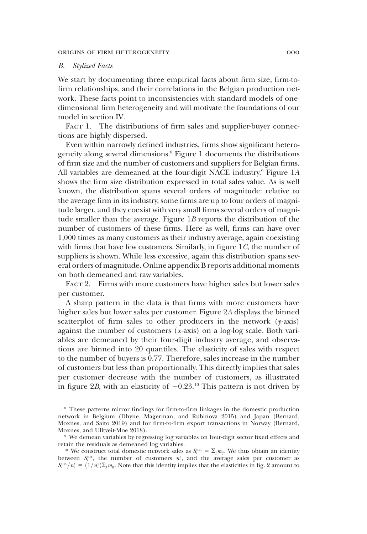# B. Stylized Facts

We start by documenting three empirical facts about firm size, firm-tofirm relationships, and their correlations in the Belgian production network. These facts point to inconsistencies with standard models of onedimensional firm heterogeneity and will motivate the foundations of our model in section IV.

FACT 1. The distributions of firm sales and supplier-buyer connections are highly dispersed.

Even within narrowly defined industries, firms show significant heterogeneity along several dimensions.8 Figure 1 documents the distributions of firm size and the number of customers and suppliers for Belgian firms. All variables are demeaned at the four-digit NACE industry.<sup>9</sup> Figure  $1A$ shows the firm size distribution expressed in total sales value. As is well known, the distribution spans several orders of magnitude: relative to the average firm in its industry, some firms are up to four orders of magnitude larger, and they coexist with very small firms several orders of magnitude smaller than the average. Figure 1B reports the distribution of the number of customers of these firms. Here as well, firms can have over 1,000 times as many customers as their industry average, again coexisting with firms that have few customers. Similarly, in figure  $1C$ , the number of suppliers is shown. While less excessive, again this distribution spans several orders of magnitude. Online appendix B reports additional moments on both demeaned and raw variables.

FACT 2. Firms with more customers have higher sales but lower sales per customer.

A sharp pattern in the data is that firms with more customers have higher sales but lower sales per customer. Figure 2A displays the binned scatterplot of firm sales to other producers in the network  $(y-axis)$ against the number of customers (x-axis) on a log-log scale. Both variables are demeaned by their four-digit industry average, and observations are binned into 20 quantiles. The elasticity of sales with respect to the number of buyers is 0.77. Therefore, sales increase in the number of customers but less than proportionally. This directly implies that sales per customer decrease with the number of customers, as illustrated in figure 2B, with an elasticity of  $-0.23$ <sup>10</sup> This pattern is not driven by

<sup>8</sup> These patterns mirror findings for firm-to-firm linkages in the domestic production network in Belgium (Dhyne, Magerman, and Rubinova 2015) and Japan (Bernard, Moxnes, and Saito 2019) and for firm-to-firm export transactions in Norway (Bernard, Moxnes, and Ulltveit-Moe 2018).

<sup>9</sup> We demean variables by regressing log variables on four-digit sector fixed effects and retain the residuals as demeaned log variables.

<sup>&</sup>lt;sup>10</sup> We construct total domestic network sales as  $S_i^{\text{net}} = \sum_j m_{ij}$ . We thus obtain an identity between  $S_i^{\text{net}}$ , the number of customers  $n_i^c$ , and the average sales per customer as  $S_i^{\text{net}}/n_i^c = (1/n_i^c)\Sigma_j m_{ij}$ . Note that this identity implies that the elasticities in fig. 2 amount to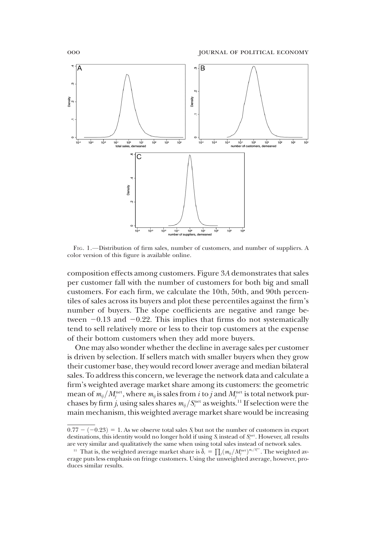

FIG. 1.—Distribution of firm sales, number of customers, and number of suppliers. A color version of this figure is available online.

composition effects among customers. Figure 3A demonstrates that sales per customer fall with the number of customers for both big and small customers. For each firm, we calculate the 10th, 50th, and 90th percentiles of sales across its buyers and plot these percentiles against the firm's number of buyers. The slope coefficients are negative and range between  $-0.13$  and  $-0.22$ . This implies that firms do not systematically tend to sell relatively more or less to their top customers at the expense of their bottom customers when they add more buyers.

One may also wonder whether the decline in average sales per customer is driven by selection. If sellers match with smaller buyers when they grow their customer base, they would record lower average and median bilateral sales. To address this concern, we leverage the network data and calculate a firm's weighted average market share among its customers: the geometric mean of  $m_{ij}/M_j^{\rm net}$ , where  $m_{ij}$  is sales from  $i$  to  $j$  and  $M_j^{\rm net}$  is total network purchases by firm *j*, using sales shares  $m_{ij}/S_i^{\text{net}}$  as weights.<sup>11</sup> If selection were the main mechanism, this weighted average market share would be increasing

 $0.77 - (-0.23) = 1$ . As we observe total sales S<sub>i</sub> but not the number of customers in export destinations, this identity would no longer hold if using  $S_i$  instead of  $S_i^{\text{net}}$ . However, all results are very similar and qualitatively the same when using total sales instead of network sales.

<sup>&</sup>lt;sup>11</sup> That is, the weighted average market share is  $\bar{\delta}_i = \prod_j (m_{ij}/M_j^{\text{net}})^{m_{ij}/S_j^{\text{net}}}$ . The weighted average however progress on fringe customers. Using the unweighted average, however progress Final is, the weighted average malket share is  $\sigma_i = \prod_j (m_{ij}/m_j)$ . The weighted average puts less emphasis on fringe customers. Using the unweighted average, however, produces similar results.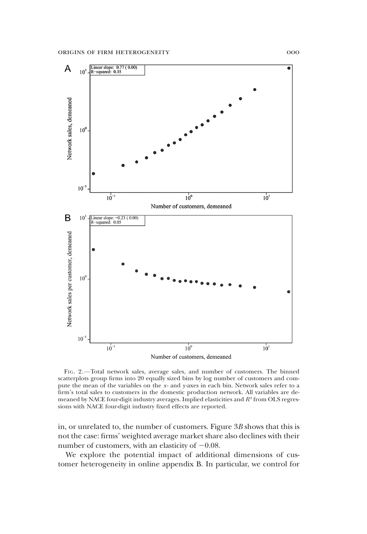

FIG. 2.—Total network sales, average sales, and number of customers. The binned scatterplots group firms into 20 equally sized bins by log number of customers and compute the mean of the variables on the  $x$ - and  $y$ -axes in each bin. Network sales refer to a firm's total sales to customers in the domestic production network. All variables are demeaned by NACE four-digit industry averages. Implied elasticities and  $R<sup>2</sup>$  from OLS regressions with NACE four-digit industry fixed effects are reported.

in, or unrelated to, the number of customers. Figure 3B shows that this is not the case: firms' weighted average market share also declines with their number of customers, with an elasticity of  $-0.08$ .

We explore the potential impact of additional dimensions of customer heterogeneity in online appendix B. In particular, we control for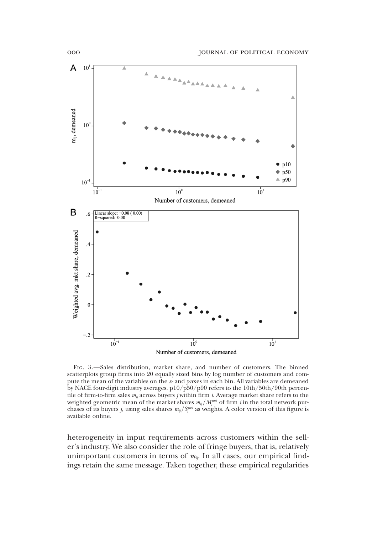

FIG. 3.—Sales distribution, market share, and number of customers. The binned scatterplots group firms into 20 equally sized bins by log number of customers and compute the mean of the variables on the  $x$ - and  $y$ -axes in each bin. All variables are demeaned by NACE four-digit industry averages. p10/p50/p90 refers to the 10th/50th/90th percentile of firm-to-firm sales  $m_{ij}$  across buyers *j* within firm *i*. Average market share refers to the weighted geometric mean of the market shares  $m_{ij}/M^{\rm net}_j$  of firm  $i$  in the total network purchases of its buyers j, using sales shares  $m_{ij}/S_i^{\text{net}}$  as weights. A color version of this figure is available online.

heterogeneity in input requirements across customers within the seller's industry. We also consider the role of fringe buyers, that is, relatively unimportant customers in terms of  $m_{ij}$ . In all cases, our empirical findings retain the same message. Taken together, these empirical regularities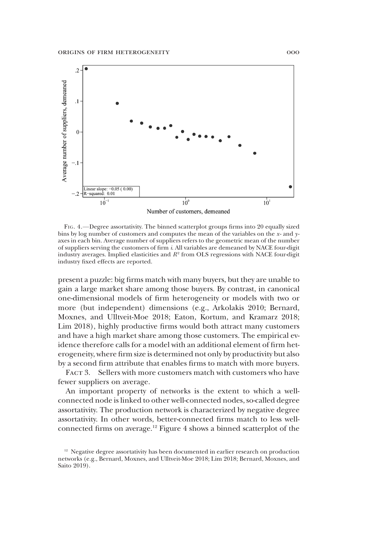

FIG. 4.—Degree assortativity. The binned scatterplot groups firms into 20 equally sized bins by log number of customers and computes the mean of the variables on the  $x$ - and  $y$ axes in each bin. Average number of suppliers refers to the geometric mean of the number of suppliers serving the customers of firm i. All variables are demeaned by NACE four-digit industry averages. Implied elasticities and  $R<sup>2</sup>$  from OLS regressions with NACE four-digit industry fixed effects are reported.

present a puzzle: big firms match with many buyers, but they are unable to gain a large market share among those buyers. By contrast, in canonical one-dimensional models of firm heterogeneity or models with two or more (but independent) dimensions (e.g., Arkolakis 2010; Bernard, Moxnes, and Ulltveit-Moe 2018; Eaton, Kortum, and Kramarz 2018; Lim 2018), highly productive firms would both attract many customers and have a high market share among those customers. The empirical evidence therefore calls for a model with an additional element of firm heterogeneity, where firm size is determined not only by productivity but also by a second firm attribute that enables firms to match with more buyers.

FACT 3. Sellers with more customers match with customers who have fewer suppliers on average.

An important property of networks is the extent to which a wellconnected node is linked to other well-connected nodes, so-called degree assortativity. The production network is characterized by negative degree assortativity. In other words, better-connected firms match to less wellconnected firms on average.12 Figure 4 shows a binned scatterplot of the

<sup>&</sup>lt;sup>12</sup> Negative degree assortativity has been documented in earlier research on production networks (e.g., Bernard, Moxnes, and Ulltveit-Moe 2018; Lim 2018; Bernard, Moxnes, and Saito 2019).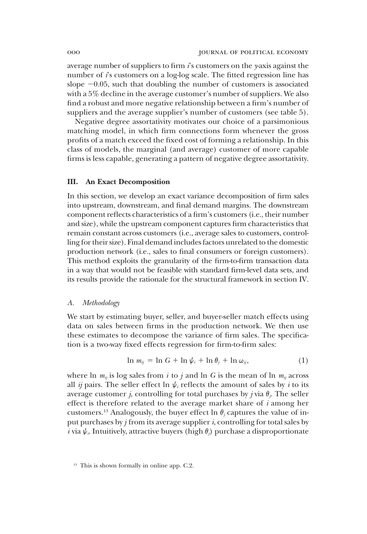average number of suppliers to firm  $i$ 's customers on the y-axis against the number of  $i$ 's customers on a log-log scale. The fitted regression line has slope  $-0.05$ , such that doubling the number of customers is associated with a 5% decline in the average customer's number of suppliers. We also find a robust and more negative relationship between a firm's number of suppliers and the average supplier's number of customers (see table 5).

Negative degree assortativity motivates our choice of a parsimonious matching model, in which firm connections form whenever the gross profits of a match exceed the fixed cost of forming a relationship. In this class of models, the marginal (and average) customer of more capable firms is less capable, generating a pattern of negative degree assortativity.

# III. An Exact Decomposition

In this section, we develop an exact variance decomposition of firm sales into upstream, downstream, and final demand margins. The downstream component reflects characteristics of a firm's customers (i.e., their number and size), while the upstream component captures firm characteristics that remain constant across customers (i.e., average sales to customers, controlling for their size). Final demand includes factors unrelated to the domestic production network (i.e., sales to final consumers or foreign customers). This method exploits the granularity of the firm-to-firm transaction data in a way that would not be feasible with standard firm-level data sets, and its results provide the rationale for the structural framework in section IV.

# A. Methodology

We start by estimating buyer, seller, and buyer-seller match effects using data on sales between firms in the production network. We then use these estimates to decompose the variance of firm sales. The specification is a two-way fixed effects regression for firm-to-firm sales:

$$
\ln m_{ij} = \ln G + \ln \psi_i + \ln \theta_j + \ln \omega_{ij}, \tag{1}
$$

where ln  $m_{ij}$  is log sales from i to j and ln G is the mean of ln  $m_{ij}$  across all *ij* pairs. The seller effect ln  $\psi_i$  reflects the amount of sales by *i* to its average customer *j*, controlling for total purchases by *j* via  $\theta$ <sub>*i*</sub>. The seller effect is therefore related to the average market share of i among her customers.<sup>13</sup> Analogously, the buyer effect ln  $\theta_i$  captures the value of input purchases by  $j$  from its average supplier  $i$ , controlling for total sales by  $\hat{i}$  via  $\psi$ . Intuitively, attractive buyers (high  $\theta_j$ ) purchase a disproportionate

<sup>&</sup>lt;sup>13</sup> This is shown formally in online app. C.2.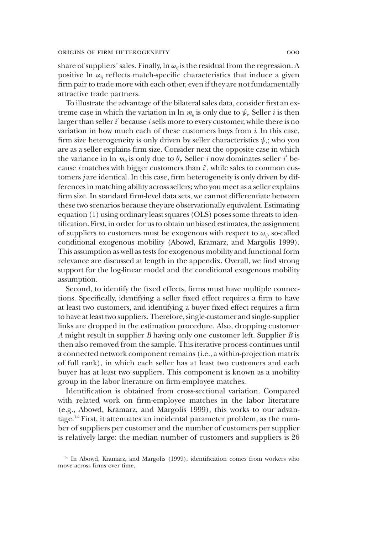share of suppliers' sales. Finally,  $\ln \omega_{ij}$  is the residual from the regression. A positive ln  $\omega_{ij}$  reflects match-specific characteristics that induce a given firm pair to trade more with each other, even if they are not fundamentally attractive trade partners.

To illustrate the advantage of the bilateral sales data, consider first an extreme case in which the variation in ln  $m_{ij}$  is only due to  $\psi_i$ . Seller *i* is then larger than seller  $i'$  because  $i$  sells more to every customer, while there is no variation in how much each of these customers buys from  $i$ . In this case, firm size heterogeneity is only driven by seller characteristics  $\psi_i$ ; who you are as a seller explains firm size. Consider next the opposite case in which the variance in  $\ln m_{ij}$  is only due to  $\theta_j$ . Seller *i* now dominates seller *i*' because  $i$  matches with bigger customers than  $i'$ , while sales to common customers j are identical. In this case, firm heterogeneity is only driven by differences in matching ability across sellers; who you meet as a seller explains firm size. In standard firm-level data sets, we cannot differentiate between these two scenarios because they are observationally equivalent. Estimating equation (1) using ordinary least squares (OLS) poses some threats to identification. First, in order for us to obtain unbiased estimates, the assignment of suppliers to customers must be exogenous with respect to  $\omega_{ij}$ , so-called conditional exogenous mobility (Abowd, Kramarz, and Margolis 1999). This assumption as well as tests for exogenous mobility and functional form relevance are discussed at length in the appendix. Overall, we find strong support for the log-linear model and the conditional exogenous mobility assumption.

Second, to identify the fixed effects, firms must have multiple connections. Specifically, identifying a seller fixed effect requires a firm to have at least two customers, and identifying a buyer fixed effect requires a firm to have at least two suppliers. Therefore, single-customer and single-supplier links are dropped in the estimation procedure. Also, dropping customer A might result in supplier  $B$  having only one customer left. Supplier  $B$  is then also removed from the sample. This iterative process continues until a connected network component remains (i.e., a within-projection matrix of full rank), in which each seller has at least two customers and each buyer has at least two suppliers. This component is known as a mobility group in the labor literature on firm-employee matches.

Identification is obtained from cross-sectional variation. Compared with related work on firm-employee matches in the labor literature (e.g., Abowd, Kramarz, and Margolis 1999), this works to our advantage.14 First, it attenuates an incidental parameter problem, as the number of suppliers per customer and the number of customers per supplier is relatively large: the median number of customers and suppliers is 26

<sup>14</sup> In Abowd, Kramarz, and Margolis (1999), identification comes from workers who move across firms over time.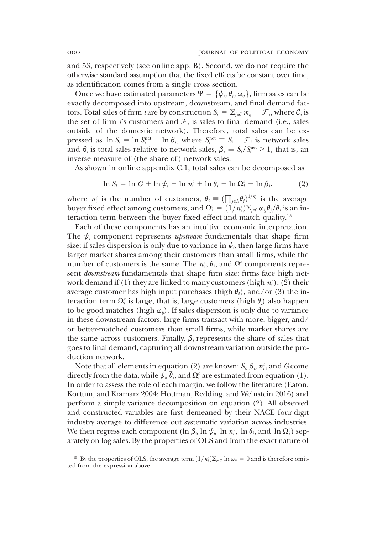and 53, respectively (see online app. B). Second, we do not require the otherwise standard assumption that the fixed effects be constant over time, as identification comes from a single cross section.

Once we have estimated parameters  $\Psi = {\psi_i, \theta_j, \omega_{ij}}$ , firm sales can be exactly decomposed into upstream, downstream, and final demand factors. Total sales of firm *i* are by construction  $S_i = \sum_{j \in C_i} m_{ij} + \mathcal{F}_i$ , where  $C_i$  is the set of firm *i*'s customers and  $\mathcal{F}_i$  is sales to final demand (i.e., sales the set of firm is customers and  $\mathcal{F}_i$  is sales to final demand (i.e., sales outside of the domestic network). Therefore, total sales can be expressed as  $\ln S_i = \ln S_i^{\text{net}} + \ln \beta_i$ , where  $S_i^{\text{net}} \equiv S_i - \mathcal{F}_i$  is network sales<br>and  $\beta_i$  is total sales relative to network sales  $\beta_i \equiv S_i / S^{\text{net}} > 1$  that is an and  $\beta_i$  is total sales relative to network sales,  $\beta_i \equiv S_i/S_i^{\text{net}} \ge 1$ , that is, an inverse measure of (the share of) network sales.

As shown in online appendix C.1, total sales can be decomposed as

$$
\ln S_i = \ln G + \ln \psi_i + \ln n_i^c + \ln \bar{\theta}_i + \ln \Omega_i^c + \ln \beta_i, \tag{2}
$$

where  $n_i^c$  is the number of customers,  $\bar{\theta}_i \equiv \left(\prod_{j \in C} \theta_j\right)^{1/n_i}$  is the average<br>buyer fixed effect among customers, and  $\Omega^c = \left(1/n^c\right) \sum_{j \in C} \theta_j \theta_j/\bar{\theta}$  is an inbuyer fixed effect among customers, and  $\Omega_i^c = \tilde{(1/n_i^c)} \Sigma_{j \in \mathcal{C}_i} \omega_{ij} \theta_j / \bar{\theta}_i$  is an interaction term between the buyer fixed effect and match quality <sup>15</sup> teraction term between the buyer fixed effect and match quality.15

Each of these components has an intuitive economic interpretation. The  $\psi_i$  component represents *upstream* fundamentals that shape firm size: if sales dispersion is only due to variance in  $\psi$ , then large firms have larger market shares among their customers than small firms, while the number of customers is the same. The  $n_i^c$ ,  $\bar{\theta}_i$ , and  $\Omega_i^c$  components represent downstream fundamentals that shape firm size: firms face high network demand if (1) they are linked to many customers (high  $n_i^c$ ), (2) their average customer has high input purchases (high  $\bar{\theta}_i$ ), and/or (3) the interaction term  $\Omega_i^c$  is large, that is, large customers (high  $\theta_j$ ) also happen to be good matches (high  $\omega_{ii}$ ). If sales dispersion is only due to variance in these downstream factors, large firms transact with more, bigger, and/ or better-matched customers than small firms, while market shares are the same across customers. Finally,  $\beta_i$  represents the share of sales that goes to final demand, capturing all downstream variation outside the production network.

Note that all elements in equation (2) are known:  $S_i$ ,  $\beta_i$ ,  $n_i^c$ , and  $G$  come directly from the data, while  $\hat{\psi}_i \bar{\theta}_i$ , and  $\Omega_i^c$  are estimated from equation (1). In order to assess the role of each margin, we follow the literature (Eaton, Kortum, and Kramarz 2004; Hottman, Redding, and Weinstein 2016) and perform a simple variance decomposition on equation (2). All observed and constructed variables are first demeaned by their NACE four-digit industry average to difference out systematic variation across industries. We then regress each component (ln  $\beta_i$ , ln  $\psi_i$ , ln  $n_i^c$ , ln  $\bar{\theta}_i$ , and ln  $\Omega_i^c$ ) separately on log sales. By the properties of OLS and from the exact nature of

<sup>&</sup>lt;sup>15</sup> By the properties of OLS, the average term  $(1/n_i^c)\Sigma_{j\in G_i}$  ln  $\omega_{ij} = 0$  and is therefore omitted from the expression above.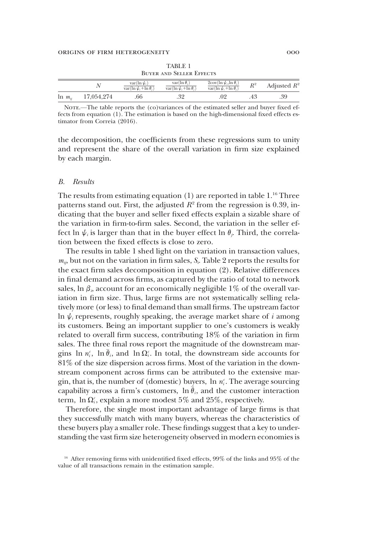| <b>BUYER AND SELLER EFFECTS</b> |            |                                                       |                                                         |                                                                             |       |                |  |  |
|---------------------------------|------------|-------------------------------------------------------|---------------------------------------------------------|-----------------------------------------------------------------------------|-------|----------------|--|--|
|                                 |            | var(ln $\psi_i$ )<br>$var(\ln \psi_i + \ln \theta_i)$ | $var(\ln \theta_i)$<br>$var(\ln \psi_i + \ln \theta_i)$ | $2\text{cov}(\ln \psi_i, \ln \theta_i)$<br>var(ln $\psi_i$ +ln $\theta_i$ ) | $R^2$ | Adjusted $R^2$ |  |  |
| $\ln m_{ii}$                    | 17,054,274 | 66                                                    |                                                         |                                                                             |       | .39            |  |  |

TABLE 1

NOTE.—The table reports the (co)variances of the estimated seller and buyer fixed effects from equation (1). The estimation is based on the high-dimensional fixed effects estimator from Correia (2016).

the decomposition, the coefficients from these regressions sum to unity and represent the share of the overall variation in firm size explained by each margin.

#### B. Results

The results from estimating equation (1) are reported in table 1.<sup>16</sup> Three patterns stand out. First, the adjusted  $R^2$  from the regression is 0.39, indicating that the buyer and seller fixed effects explain a sizable share of the variation in firm-to-firm sales. Second, the variation in the seller effect ln  $\psi_i$  is larger than that in the buyer effect ln  $\theta_i$ . Third, the correlation between the fixed effects is close to zero.

The results in table 1 shed light on the variation in transaction values,  $m_{ij}$ , but not on the variation in firm sales,  $S_i$ . Table 2 reports the results for the exact firm sales decomposition in equation (2). Relative differences in final demand across firms, as captured by the ratio of total to network sales, ln  $\beta_i$ , account for an economically negligible 1% of the overall variation in firm size. Thus, large firms are not systematically selling relatively more (or less) to final demand than small firms. The upstream factor In  $\psi$ <sub>i</sub> represents, roughly speaking, the average market share of i among its customers. Being an important supplier to one's customers is weakly related to overall firm success, contributing 18% of the variation in firm sales. The three final rows report the magnitude of the downstream margins ln  $n_i^c$ , ln  $\bar{\theta}_i$ , and ln  $\Omega_i^c$ . In total, the downstream side accounts for 81% of the size dispersion across firms. Most of the variation in the downstream component across firms can be attributed to the extensive margin, that is, the number of (domestic) buyers,  $\ln n_i^c$ . The average sourcing capability across a firm's customers,  $\ln \overline{\theta}_i$ , and the customer interaction term,  $\ln \Omega_i^c$ , explain a more modest 5% and 25%, respectively.

Therefore, the single most important advantage of large firms is that they successfully match with many buyers, whereas the characteristics of these buyers play a smaller role. These findings suggest that a key to understanding the vast firm size heterogeneity observed in modern economies is

<sup>&</sup>lt;sup>16</sup> After removing firms with unidentified fixed effects, 99% of the links and 95% of the value of all transactions remain in the estimation sample.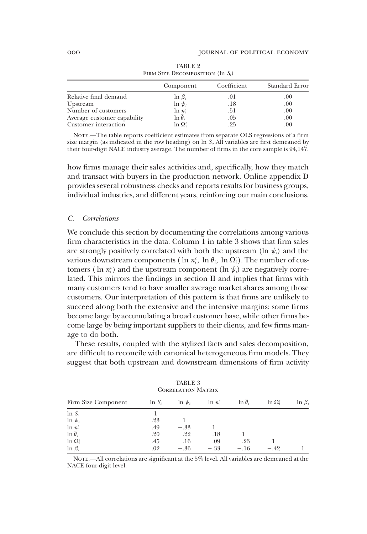| FIRM SIZE DECOMPOSITION (In S.) |                  |             |                       |  |  |  |
|---------------------------------|------------------|-------------|-----------------------|--|--|--|
|                                 | Component        | Coefficient | <b>Standard Error</b> |  |  |  |
| Relative final demand           | $\ln \beta_i$    | .01         | .00.                  |  |  |  |
| Upstream                        | $\ln \psi_i$     | .18         | .00.                  |  |  |  |
| Number of customers             | $\ln n_i^c$      | .51         | .00.                  |  |  |  |
| Average customer capability     | $\ln \theta_i$   | .05         | .00.                  |  |  |  |
| Customer interaction            | $\ln \Omega_i^c$ | .25         | .00                   |  |  |  |

TABLE 2 FIRM SIZE DECOMPOSITION  $(\ln S_i)$ 

NOTE.—The table reports coefficient estimates from separate OLS regressions of a firm size margin (as indicated in the row heading) on  $\ln S$ . All variables are first demeaned by their four-digit NACE industry average. The number of firms in the core sample is 94,147.

how firms manage their sales activities and, specifically, how they match and transact with buyers in the production network. Online appendix D provides several robustness checks and reports results for business groups, individual industries, and different years, reinforcing our main conclusions.

#### C. Correlations

We conclude this section by documenting the correlations among various firm characteristics in the data. Column 1 in table 3 shows that firm sales are strongly positively correlated with both the upstream (ln  $\psi_i$ ) and the various downstream components (ln  $n_i^c$ , ln  $\bar{\theta}_i$ , ln  $\Omega_i^c$ ). The number of customers (ln  $n_i$ ) and the upstream component (ln  $\psi_i$ ) are negatively correlated. This mirrors the findings in section II and implies that firms with many customers tend to have smaller average market shares among those customers. Our interpretation of this pattern is that firms are unlikely to succeed along both the extensive and the intensive margins: some firms become large by accumulating a broad customer base, while other firms become large by being important suppliers to their clients, and few firms manage to do both.

These results, coupled with the stylized facts and sales decomposition, are difficult to reconcile with canonical heterogeneous firm models. They suggest that both upstream and downstream dimensions of firm activity

| <b>TABLE 3</b><br><b>CORRELATION MATRIX</b> |           |              |             |                |                  |               |  |  |
|---------------------------------------------|-----------|--------------|-------------|----------------|------------------|---------------|--|--|
| Firm Size Component                         | $\ln S_i$ | $\ln \psi_i$ | $\ln n_i^c$ | $\ln \theta_i$ | $\ln \Omega_i^c$ | $\ln \beta_i$ |  |  |
| $\ln S_i$                                   |           |              |             |                |                  |               |  |  |
| $\ln \psi_i$                                | .23       |              |             |                |                  |               |  |  |
| $\ln n_i^c$                                 | .49       | $-.33$       |             |                |                  |               |  |  |
| $\ln \overline{\theta}_i$                   | .20       | .22          | $-.18$      |                |                  |               |  |  |
| $\ln \Omega_i^c$                            | .45       | .16          | .09         | .23            |                  |               |  |  |
| $\ln \beta_i$                               | .02       | $-.36$       | $-.33$      | $-.16$         | $-.42$           |               |  |  |

NOTE.—All correlations are significant at the  $5\%$  level. All variables are demeaned at the NACE four-digit level.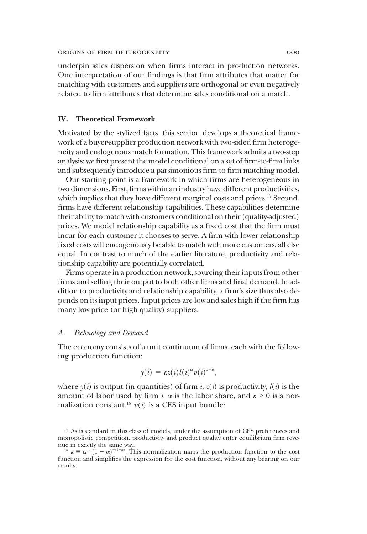underpin sales dispersion when firms interact in production networks. One interpretation of our findings is that firm attributes that matter for matching with customers and suppliers are orthogonal or even negatively related to firm attributes that determine sales conditional on a match.

# IV. Theoretical Framework

Motivated by the stylized facts, this section develops a theoretical framework of a buyer-supplier production network with two-sided firm heterogeneity and endogenous match formation. This framework admits a two-step analysis: we first present the model conditional on a set of firm-to-firm links and subsequently introduce a parsimonious firm-to-firm matching model.

Our starting point is a framework in which firms are heterogeneous in two dimensions. First, firms within an industry have different productivities, which implies that they have different marginal costs and prices.<sup>17</sup> Second, firms have different relationship capabilities. These capabilities determine their ability to match with customers conditional on their (quality-adjusted) prices. We model relationship capability as a fixed cost that the firm must incur for each customer it chooses to serve. A firm with lower relationship fixed costs will endogenously be able to match with more customers, all else equal. In contrast to much of the earlier literature, productivity and relationship capability are potentially correlated.

Firms operate in a production network, sourcing their inputs from other firms and selling their output to both other firms and final demand. In addition to productivity and relationship capability, a firm's size thus also depends on its input prices. Input prices are low and sales high if the firm has many low-price (or high-quality) suppliers.

# A. Technology and Demand

The economy consists of a unit continuum of firms, each with the following production function:

$$
y(i) = \kappa z(i) l(i)^{\alpha} v(i)^{1-\alpha},
$$

where  $y(i)$  is output (in quantities) of firm i,  $z(i)$  is productivity,  $l(i)$  is the amount of labor used by firm i,  $\alpha$  is the labor share, and  $\kappa > 0$  is a normalization constant.<sup>18</sup>  $v(i)$  is a CES input bundle:

<sup>&</sup>lt;sup>17</sup> As is standard in this class of models, under the assumption of CES preferences and monopolistic competition, productivity and product quality enter equilibrium firm revenue in exactly the same way.

<sup>&</sup>lt;sup>18</sup>  $\kappa = \alpha^{-\alpha} (1 - \alpha)^{-(1 - \alpha)}$ . This normalization maps the production function to the cost function and simplifies the expression for the cost function without any bearing on our function and simplifies the expression for the cost function, without any bearing on our results.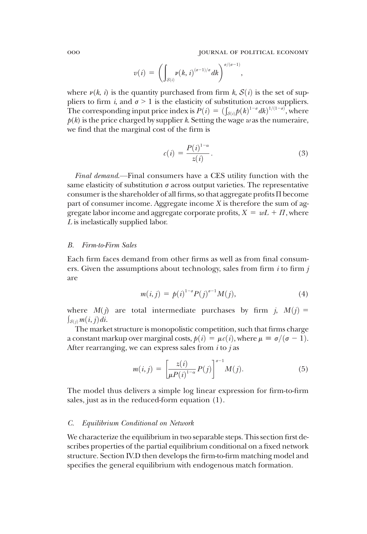$$
v(i) = \left(\int_{S(i)} v(k,i)^{(\sigma-1)/\sigma} dk\right)^{\sigma/(\sigma-1)},
$$

where  $\nu(k, i)$  is the quantity purchased from firm k,  $S(i)$  is the set of suppliers to firm i, and  $\sigma > 1$  is the elasticity of substitution across suppliers. The corresponding input price index is  $P(i) = (\int_{\mathcal{S}(i)} p(k)^{1-\sigma} dk)^{1/(1-\sigma)}$ , where  $p(k)$  is the price charged by supplier k. Setting the wage was the numeraire  $p(k)$  is the price charged by supplier k. Setting the wage w as the numeraire, we find that the marginal cost of the firm is

$$
c(i) = \frac{P(i)^{1-\alpha}}{z(i)}.
$$
 (3)

Final demand.—Final consumers have a CES utility function with the same elasticity of substitution  $\sigma$  across output varieties. The representative consumer is the shareholder of all firms, so that aggregate profits Π become part of consumer income. Aggregate income X is therefore the sum of aggregate labor income and aggregate corporate profits,  $X = wL + \Pi$ , where L is inelastically supplied labor.

# B. Firm-to-Firm Sales

Each firm faces demand from other firms as well as from final consumers. Given the assumptions about technology, sales from firm  $i$  to firm  $j$ are

$$
m(i,j) = p(i)^{1-\sigma} P(j)^{\sigma-1} M(j),
$$
\n(4)

where  $M(j)$  are total intermediate purchases by firm j,  $M(j)$  =  $\int_{\mathcal{S}(j)} m(i,j) di.$ 

The market structure is monopolistic competition, such that firms charge a constant markup over marginal costs,  $p(i) = \mu c(i)$ , where  $\mu \equiv \sigma/(\sigma - 1)$ . After rearranging, we can express sales from  $i$  to  $j$  as

$$
m(i,j) = \left[\frac{z(i)}{\mu P(i)^{1-\alpha}} P(j)\right]^{\sigma-1} M(j).
$$
 (5)

The model thus delivers a simple log linear expression for firm-to-firm sales, just as in the reduced-form equation (1).

# C. Equilibrium Conditional on Network

We characterize the equilibrium in two separable steps. This section first describes properties of the partial equilibrium conditional on a fixed network structure. Section IV.D then develops the firm-to-firm matching model and specifies the general equilibrium with endogenous match formation.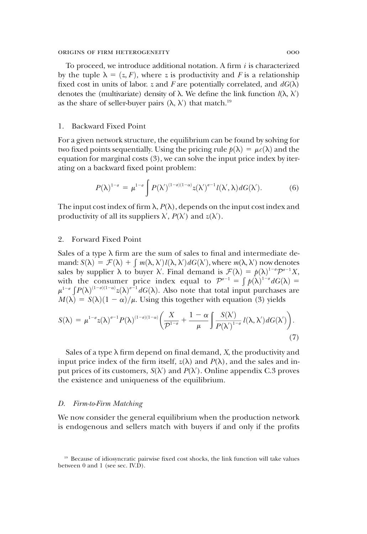To proceed, we introduce additional notation. A firm  $i$  is characterized by the tuple  $\lambda = (z, F)$ , where z is productivity and F is a relationship fixed cost in units of labor. z and F are potentially correlated, and  $dG(\lambda)$ denotes the (multivariate) density of  $\lambda$ . We define the link function  $\ell(\lambda, \lambda')$ as the share of seller-buyer pairs  $(\lambda, \lambda')$  that match.<sup>19</sup>

# 1. Backward Fixed Point

For a given network structure, the equilibrium can be found by solving for two fixed points sequentially. Using the pricing rule  $p(\lambda) = \mu c(\lambda)$  and the equation for marginal costs (3), we can solve the input price index by iterating on a backward fixed point problem:

$$
P(\lambda)^{1-\sigma} = \mu^{1-\sigma} \int P(\lambda')^{(1-\sigma)(1-\alpha)} z(\lambda')^{\sigma-1} l(\lambda', \lambda) dG(\lambda'). \tag{6}
$$

The input cost index of firm  $\lambda$ ,  $P(\lambda)$ , depends on the input cost index and productivity of all its suppliers  $\lambda'$ ,  $P(\lambda')$  and  $z(\lambda')$ .

# 2. Forward Fixed Point

Sales of a type  $\lambda$  firm are the sum of sales to final and intermediate demand:  $S(\lambda) = \mathcal{F}(\lambda) + \int m(\lambda, \lambda') l(\lambda, \lambda') dG(\lambda')$ , where  $m(\lambda, \lambda')$  now denotes sales by supplier  $\lambda$  to buyer  $\lambda'$  Final demand is  $\mathcal{F}(\lambda) = h(\lambda)^{1-\sigma} \mathcal{D}^{\sigma-1} X$ sales by supplier  $\lambda$  to buyer  $\lambda'$ . Final demand is  $\mathcal{F}(\lambda) = p(\lambda)^{1-\sigma} \mathcal{P}^{\sigma-1} X$ , with the consumer price index equal to  $\mathcal{P}^{\sigma-1} = \int p(\lambda)^{1-\sigma} dG(\lambda) =$ with the consumer price index equal to  $\mathcal{P}^{\sigma-1} = \int p(\lambda)^{1-\sigma} dG(\lambda) =$ <br> $\mu^{1-\sigma} \int p(\lambda)^{(1-\sigma)(1-\sigma)} \gamma(\lambda)^{\sigma-1} dG(\lambda)$  Also note that total input purchases are  $\mu^{1-\sigma} \int P(\lambda)^{(1-\sigma)(1-\alpha)} z(\lambda)^{\sigma-1} dG(\lambda)$ . Also note that total input purchases are  $M(\lambda) = S(\lambda)(1-\alpha)/\mu$ . Using this together with equation (3) yields  $M(\lambda) = S(\lambda)(1 - \alpha)/\mu$ . Using this together with equation (3) yields

$$
S(\lambda) = \mu^{1-\sigma} z(\lambda)^{\sigma-1} P(\lambda)^{(1-\sigma)(1-\alpha)} \bigg( \frac{X}{\mathcal{P}^{1-\sigma}} + \frac{1-\alpha}{\mu} \int \frac{S(\lambda')}{P(\lambda')^{1-\sigma}} l(\lambda, \lambda') dG(\lambda') \bigg). \tag{7}
$$

Sales of a type  $\lambda$  firm depend on final demand, X, the productivity and input price index of the firm itself,  $z(\lambda)$  and  $P(\lambda)$ , and the sales and input prices of its customers,  $S(\lambda')$  and  $P(\lambda')$ . Online appendix C.3 proves the existence and uniqueness of the equilibrium.

# D. Firm-to-Firm Matching

We now consider the general equilibrium when the production network is endogenous and sellers match with buyers if and only if the profits

<sup>19</sup> Because of idiosyncratic pairwise fixed cost shocks, the link function will take values between 0 and 1 (see sec. IV.D).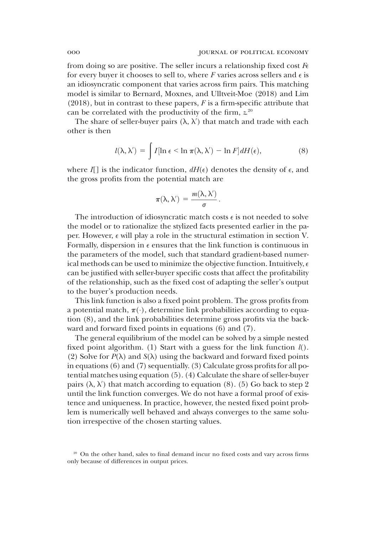from doing so are positive. The seller incurs a relationship fixed cost  $F_{\epsilon}$ for every buyer it chooses to sell to, where  $F$  varies across sellers and  $\epsilon$  is an idiosyncratic component that varies across firm pairs. This matching model is similar to Bernard, Moxnes, and Ulltveit-Moe (2018) and Lim  $(2018)$ , but in contrast to these papers, F is a firm-specific attribute that can be correlated with the productivity of the firm, z. 20

The share of seller-buyer pairs  $(\lambda, \lambda')$  that match and trade with each other is then

$$
l(\lambda, \lambda') = \int I[\ln \epsilon < \ln \pi(\lambda, \lambda') - \ln F] dH(\epsilon), \qquad (8)
$$

where  $I$ [] is the indicator function,  $dH(\epsilon)$  denotes the density of  $\epsilon$ , and the gross profits from the potential match are

$$
\pi(\lambda,\lambda')\,=\,\frac{m(\lambda,\lambda')}{\sigma}\,.
$$

The introduction of idiosyncratic match costs  $\epsilon$  is not needed to solve the model or to rationalize the stylized facts presented earlier in the paper. However, e will play a role in the structural estimation in section V. Formally, dispersion in  $\epsilon$  ensures that the link function is continuous in the parameters of the model, such that standard gradient-based numerical methods can be used to minimize the objective function. Intuitively,  $\epsilon$ can be justified with seller-buyer specific costs that affect the profitability of the relationship, such as the fixed cost of adapting the seller's output to the buyer's production needs.

This link function is also a fixed point problem. The gross profits from a potential match,  $\pi(\cdot)$ , determine link probabilities according to equation (8), and the link probabilities determine gross profits via the backward and forward fixed points in equations (6) and (7).

The general equilibrium of the model can be solved by a simple nested fixed point algorithm. (1) Start with a guess for the link function  $l()$ . (2) Solve for  $P(\lambda)$  and  $S(\lambda)$  using the backward and forward fixed points in equations (6) and (7) sequentially. (3) Calculate gross profits for all potential matches using equation (5). (4) Calculate the share of seller-buyer pairs  $(\lambda, \lambda')$  that match according to equation (8). (5) Go back to step 2 until the link function converges. We do not have a formal proof of existence and uniqueness. In practice, however, the nested fixed point problem is numerically well behaved and always converges to the same solution irrespective of the chosen starting values.

<sup>&</sup>lt;sup>20</sup> On the other hand, sales to final demand incur no fixed costs and vary across firms only because of differences in output prices.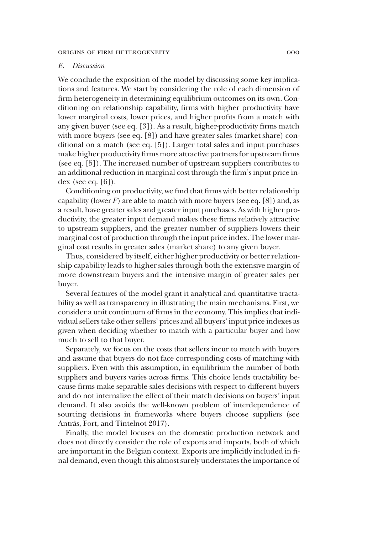# E. Discussion

We conclude the exposition of the model by discussing some key implications and features. We start by considering the role of each dimension of firm heterogeneity in determining equilibrium outcomes on its own. Conditioning on relationship capability, firms with higher productivity have lower marginal costs, lower prices, and higher profits from a match with any given buyer (see eq. [3]). As a result, higher-productivity firms match with more buyers (see eq. [8]) and have greater sales (market share) conditional on a match (see eq. [5]). Larger total sales and input purchases make higher productivity firms more attractive partners for upstream firms (see eq. [5]). The increased number of upstream suppliers contributes to an additional reduction in marginal cost through the firm's input price index (see eq.  $[6]$ ).

Conditioning on productivity, we find that firms with better relationship capability (lower  $F$ ) are able to match with more buyers (see eq. [8]) and, as a result, have greater sales and greater input purchases. As with higher productivity, the greater input demand makes these firms relatively attractive to upstream suppliers, and the greater number of suppliers lowers their marginal cost of production through the input price index. The lower marginal cost results in greater sales (market share) to any given buyer.

Thus, considered by itself, either higher productivity or better relationship capability leads to higher sales through both the extensive margin of more downstream buyers and the intensive margin of greater sales per buyer.

Several features of the model grant it analytical and quantitative tractability as well as transparency in illustrating the main mechanisms. First, we consider a unit continuum of firms in the economy. This implies that individual sellers take other sellers' prices and all buyers' input price indexes as given when deciding whether to match with a particular buyer and how much to sell to that buyer.

Separately, we focus on the costs that sellers incur to match with buyers and assume that buyers do not face corresponding costs of matching with suppliers. Even with this assumption, in equilibrium the number of both suppliers and buyers varies across firms. This choice lends tractability because firms make separable sales decisions with respect to different buyers and do not internalize the effect of their match decisions on buyers' input demand. It also avoids the well-known problem of interdependence of sourcing decisions in frameworks where buyers choose suppliers (see Antràs, Fort, and Tintelnot 2017).

Finally, the model focuses on the domestic production network and does not directly consider the role of exports and imports, both of which are important in the Belgian context. Exports are implicitly included in final demand, even though this almost surely understates the importance of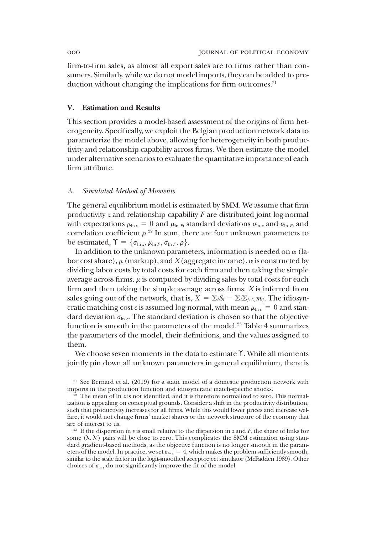firm-to-firm sales, as almost all export sales are to firms rather than consumers. Similarly, while we do not model imports, they can be added to production without changing the implications for firm outcomes.<sup>21</sup>

# V. Estimation and Results

This section provides a model-based assessment of the origins of firm heterogeneity. Specifically, we exploit the Belgian production network data to parameterize the model above, allowing for heterogeneity in both productivity and relationship capability across firms. We then estimate the model under alternative scenarios to evaluate the quantitative importance of each firm attribute.

### A. Simulated Method of Moments

The general equilibrium model is estimated by SMM. We assume that firm productivity  $z$  and relationship capability  $F$  are distributed joint log-normal with expectations  $\mu_{\ln z} = 0$  and  $\mu_{\ln F}$ , standard deviations  $\sigma_{\ln z}$  and  $\sigma_{\ln F}$ , and correlation coefficient  $\rho$ .<sup>22</sup> In sum, there are four unknown parameters to be estimated,  $\Upsilon = {\sigma_{\ln z}, \mu_{\ln F}, \sigma_{\ln F}, \rho}.$ 

In addition to the unknown parameters, information is needed on  $\alpha$  (labor cost share),  $\mu$  (markup), and X (aggregate income).  $\alpha$  is constructed by dividing labor costs by total costs for each firm and then taking the simple average across firms.  $\mu$  is computed by dividing sales by total costs for each firm and then taking the simple average across firms. X is inferred from sales going out of the network, that is,  $X = \sum_i S_i - \sum_i \sum_{j \in C_i} m_{ij}$ . The idiosyncratic matching cost  $\epsilon$  is assumed log-normal, with mean  $\mu_{\ln \epsilon} = 0$  and standard deviation  $\sigma_{\ln e}$ . The standard deviation is chosen so that the objective function is smooth in the parameters of the model.<sup>23</sup> Table 4 summarizes the parameters of the model, their definitions, and the values assigned to them.

We choose seven moments in the data to estimate ϒ. While all moments jointly pin down all unknown parameters in general equilibrium, there is

 $21$  See Bernard et al. (2019) for a static model of a domestic production network with imports in the production function and idiosyncratic match-specific shocks.

 $\frac{2}{2}$  The mean of ln z is not identified, and it is therefore normalized to zero. This normalization is appealing on conceptual grounds. Consider a shift in the productivity distribution, such that productivity increases for all firms. While this would lower prices and increase welfare, it would not change firms' market shares or the network structure of the economy that are of interest to us.

<sup>&</sup>lt;sup>23</sup> If the dispersion in  $\epsilon$  is small relative to the dispersion in z and F, the share of links for some  $(\lambda, \lambda')$  pairs will be close to zero. This complicates the SMM estimation using standard gradient-based methods, as the objective function is no longer smooth in the parameters of the model. In practice, we set  $\sigma_{\ln \epsilon} = 4$ , which makes the problem sufficiently smooth, similar to the scale factor in the logit-smoothed accept-reject simulator (McFadden 1989). Other choices of  $\sigma_{\ln \epsilon}$  do not significantly improve the fit of the model.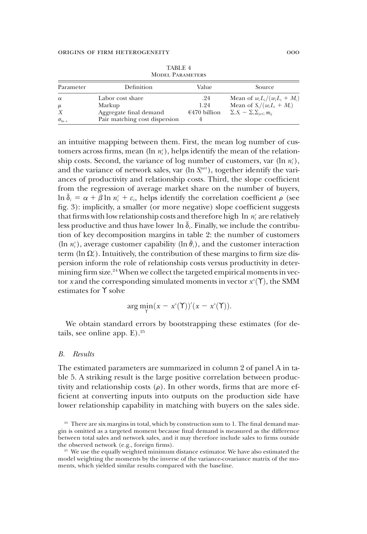| Parameter               | Definition                                           | Value                       | Source                                                                                                             |
|-------------------------|------------------------------------------------------|-----------------------------|--------------------------------------------------------------------------------------------------------------------|
| $\alpha$<br>$\mu$<br>X  | Labor cost share<br>Markup<br>Aggregate final demand | .24<br>1.24<br>€470 billion | Mean of $w_i L_i / (w_i L_i + M_i)$<br>Mean of $S_i/(w_iL_i+M_i)$<br>$\sum_i S_i - \sum_i \sum_{i \in C_i} m_{ii}$ |
| $\sigma_{\ln \epsilon}$ | Pair matching cost dispersion                        |                             |                                                                                                                    |

TABLE 4 Model Parameters

an intuitive mapping between them. First, the mean log number of customers across firms, mean ( $\ln n_i$ ), helps identify the mean of the relationship costs. Second, the variance of log number of customers, var  $(\ln n_i^c)$ , and the variance of network sales, var  $(\ln S_i^{\text{net}})$ , together identify the variances of productivity and relationship costs. Third, the slope coefficient from the regression of average market share on the number of buyers,  $\ln \bar{\delta}_i = \alpha + \beta \ln n_i^c + \varepsilon_i$ , helps identify the correlation coefficient  $\rho$  (see fig. 3): implicitly, a smaller (or more negative) slope coefficient suggests that firms with low relationship costs and therefore high  $\ln n_i^c$  are relatively less productive and thus have lower  $\ln \delta_i$ . Finally, we include the contribution of key decomposition margins in table 2: the number of customers (ln  $n_i^c$ ), average customer capability (ln  $\bar{\theta}_i$ ), and the customer interaction term ( $\ln \Omega_i^c$ ). Intuitively, the contribution of these margins to firm size dispersion inform the role of relationship costs versus productivity in determining firm size.<sup>24</sup> When we collect the targeted empirical moments in vector x and the corresponding simulated moments in vector  $x^s(\Upsilon)$ , the SMM estimates for  $\Upsilon$  solve estimates for ϒ solve

$$
\arg\min_{\Upsilon} (x - x^s(\Upsilon))'(x - x^s(\Upsilon)).
$$

We obtain standard errors by bootstrapping these estimates (for details, see online app.  $E$ ).<sup>25</sup>

#### B. Results

The estimated parameters are summarized in column 2 of panel A in table 5. A striking result is the large positive correlation between productivity and relationship costs  $(\rho)$ . In other words, firms that are more efficient at converting inputs into outputs on the production side have lower relationship capability in matching with buyers on the sales side.

 $24$  There are six margins in total, which by construction sum to 1. The final demand margin is omitted as a targeted moment because final demand is measured as the difference between total sales and network sales, and it may therefore include sales to firms outside the observed network (e.g., foreign firms).

<sup>&</sup>lt;sup>25</sup> We use the equally weighted minimum distance estimator. We have also estimated the model weighting the moments by the inverse of the variance-covariance matrix of the moments, which yielded similar results compared with the baseline.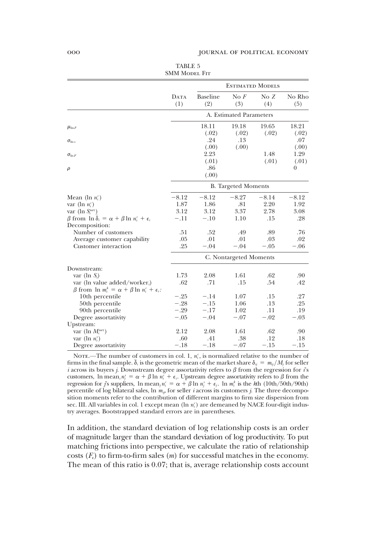|                                                                                                    | DATA<br>(1) | <b>ESTIMATED MODELS</b>    |                         |                |                         |  |  |
|----------------------------------------------------------------------------------------------------|-------------|----------------------------|-------------------------|----------------|-------------------------|--|--|
|                                                                                                    |             | Baseline<br>(2)            | $\mathrm{No} F$<br>(3)  | NoZ<br>(4)     | No Rho<br>(5)           |  |  |
|                                                                                                    |             |                            | A. Estimated Parameters |                |                         |  |  |
| $\mu_{\ln F}$                                                                                      |             | 18.11<br>(.02)             | 19.18<br>(.02)          | 19.65<br>(.02) | 18.21<br>(.02)          |  |  |
| $\sigma_{\ln z}$                                                                                   |             | .24<br>(.00)               | .13<br>(.00)            |                | .07<br>(.00)            |  |  |
| $\sigma_{\ln F}$                                                                                   |             | 2.23                       |                         | 1.48           | 1.29                    |  |  |
| $\rho$                                                                                             |             | (.01)<br>.86<br>(.00)      |                         | (.01)          | (.01)<br>$\overline{0}$ |  |  |
|                                                                                                    |             | <b>B.</b> Targeted Moments |                         |                |                         |  |  |
| Mean (ln $n_i^c$ )                                                                                 | $-8.12$     | $-8.12$                    | $-8.27$                 | $-8.14$        | $-8.12$                 |  |  |
| var ( $\ln n_i^c$ )                                                                                | 1.87        | 1.86                       | .81                     | 2.20           | 1.92                    |  |  |
| var ( $\ln S_i^{\text{net}}$ )                                                                     | 3.12        | 3.12                       | 3.37                    | 2.78           | 3.08                    |  |  |
| $\beta$ from $\ln \delta_i = \alpha + \beta \ln n_i^c + \epsilon_i$                                | $-.11$      | $-.10$                     | 1.10                    | .15            | .28                     |  |  |
| Decomposition:                                                                                     |             |                            |                         |                |                         |  |  |
| Number of customers                                                                                | .51         | .52                        | .49                     | .89            | .76                     |  |  |
| Average customer capability                                                                        | .05         | .01                        | .01                     | .03            | .02                     |  |  |
| Customer interaction                                                                               | .25         | $-.04$                     | $-.04$                  | $-.05$         | $-.06$                  |  |  |
|                                                                                                    |             | C. Nontargeted Moments     |                         |                |                         |  |  |
| Downstream:                                                                                        |             |                            |                         |                |                         |  |  |
| var ( $\ln S_i$ )                                                                                  | 1.73        | 2.08                       | 1.61                    | .62            | .90                     |  |  |
| var (ln value added/worker,)<br>$\beta$ from $\ln m_i^k = \alpha + \beta \ln n_i^c + \epsilon_i$ . | .62         | .71                        | .15                     | .54            | .42                     |  |  |
| 10th percentile                                                                                    | $-.25$      | $-.14$                     | 1.07                    | .15            | .27                     |  |  |
| 50th percentile                                                                                    | $-.28$      | $-.15$                     | 1.06                    | .13            | .25                     |  |  |
| 90th percentile                                                                                    | $-.29$      | $-.17$                     | 1.02                    | .11            | .19                     |  |  |
| Degree assortativity                                                                               | $-.05$      | $-.04$                     | $-.07$                  | $-.02$         | $-.03$                  |  |  |
| Upstream:                                                                                          |             |                            |                         |                |                         |  |  |
| var ( $\ln M_i^{\text{net}}$ )                                                                     | 2.12        | 2.08                       | 1.61                    | .62            | .90                     |  |  |
| var ( $\ln n_i^s$ )                                                                                | .60         | .41                        | .38                     | .12            | .18                     |  |  |
| Degree assortativity                                                                               | $-.18$      | $-.18$                     | $-.07$                  | $-.15$         | $-.15$                  |  |  |

TABLE 5 SMM MODEL FIT

NOTE.—The number of customers in col. 1,  $n_i^c$ , is normalized relative to the number of firms in the final sample.  $\bar{\delta}_i$  is the geometric mean of the market share  $\delta_{ij} = m_{ij}/M_i$  for seller i across its buyers j. Downstream degree assortativity refers to  $\beta$  from the regression for is customers,  $\ln \text{mean}_i n_j^s = \alpha + \beta \ln n_i^c + \epsilon_i$ . Upstream degree assortativity refers to  $\beta$  from the regression for j's suppliers,  $\ln \text{mean}_j n_i^c = \alpha + \beta \ln n_j^s + \epsilon_j$ .  $\ln m_i^k$  is the kth (10th/50th/90th) percentile of log bilateral sales, ln  $m_{ij}$ , for seller *i* across its customers *j*. The three decomposition moments refer to the contribution of different margins to firm size dispersion from sec. III. All variables in col. 1 except mean (ln  $n_i^c$ ) are demeaned by NACE four-digit industry averages. Bootstrapped standard errors are in parentheses.

In addition, the standard deviation of log relationship costs is an order of magnitude larger than the standard deviation of log productivity. To put matching frictions into perspective, we calculate the ratio of relationship costs  $(F_{\epsilon})$  to firm-to-firm sales  $(m)$  for successful matches in the economy. The mean of this ratio is 0.07; that is, average relationship costs account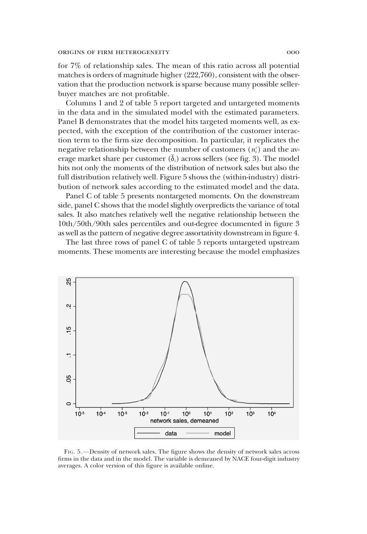for 7% of relationship sales. The mean of this ratio across all potential matches is orders of magnitude higher (222,760), consistent with the observation that the production network is sparse because many possible sellerbuyer matches are not profitable.

Columns 1 and 2 of table 5 report targeted and untargeted moments in the data and in the simulated model with the estimated parameters. Panel B demonstrates that the model hits targeted moments well, as expected, with the exception of the contribution of the customer interaction term to the firm size decomposition. In particular, it replicates the negative relationship between the number of customers  $(n_i^c)$  and the average market share per customer  $(\delta_i)$  across sellers (see fig. 3). The model hits not only the moments of the distribution of network sales but also the full distribution relatively well. Figure 5 shows the (within-industry) distribution of network sales according to the estimated model and the data.

Panel C of table 5 presents nontargeted moments. On the downstream side, panel C shows that the model slightly overpredicts the variance of total sales. It also matches relatively well the negative relationship between the 10th/50th/90th sales percentiles and out-degree documented in figure 3 as well as the pattern of negative degree assortativity downstream in figure 4.

The last three rows of panel C of table 5 reports untargeted upstream moments. These moments are interesting because the model emphasizes



FIG. 5.—Density of network sales. The figure shows the density of network sales across firms in the data and in the model. The variable is demeaned by NACE four-digit industry averages. A color version of this figure is available online.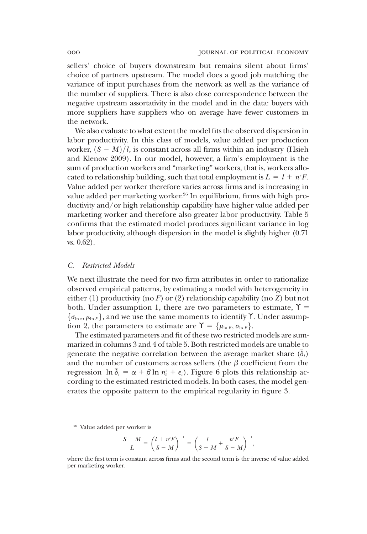sellers' choice of buyers downstream but remains silent about firms' choice of partners upstream. The model does a good job matching the variance of input purchases from the network as well as the variance of the number of suppliers. There is also close correspondence between the negative upstream assortativity in the model and in the data: buyers with more suppliers have suppliers who on average have fewer customers in the network.

We also evaluate to what extent the model fits the observed dispersion in labor productivity. In this class of models, value added per production worker,  $(S - M)/l$ , is constant across all firms within an industry (Hsieh and Klenow 2009). In our model, however, a firm's employment is the sum of production workers and "marketing" workers, that is, workers allocated to relationship building, such that total employment is  $L = l + n^c F$ . Value added per worker therefore varies across firms and is increasing in value added per marketing worker.<sup>26</sup> In equilibrium, firms with high productivity and/or high relationship capability have higher value added per marketing worker and therefore also greater labor productivity. Table 5 confirms that the estimated model produces significant variance in log labor productivity, although dispersion in the model is slightly higher (0.71 vs. 0.62).

## C. Restricted Models

We next illustrate the need for two firm attributes in order to rationalize observed empirical patterns, by estimating a model with heterogeneity in either (1) productivity (no F) or (2) relationship capability (no Z) but not both. Under assumption 1, there are two parameters to estimate,  $\Upsilon$  =  $\{\sigma_{\ln z}, \mu_{\ln F}\}\$ , and we use the same moments to identify  $\Upsilon$ . Under assumption 2, the parameters to estimate are  $\Upsilon = {\mu_{\ln F}, \sigma_{\ln F}}$ .

The estimated parameters and fit of these two restricted models are summarized in columns 3 and 4 of table 5. Both restricted models are unable to generate the negative correlation between the average market share  $(\delta_i)$ and the number of customers across sellers (the  $\beta$  coefficient from the regression  $\ln \bar{\delta}_i = \alpha + \beta \ln n_i^c + \epsilon_i$ ). Figure 6 plots this relationship according to the estimated restricted models. In both cases, the model generates the opposite pattern to the empirical regularity in figure 3.

<sup>26</sup> Value added per worker is

$$
\frac{S-M}{L} = \left(\frac{l+n^cF}{S-M}\right)^{-1} = \left(\frac{l}{S-M} + \frac{n^cF}{S-M}\right)^{-1}
$$

,

where the first term is constant across firms and the second term is the inverse of value added per marketing worker.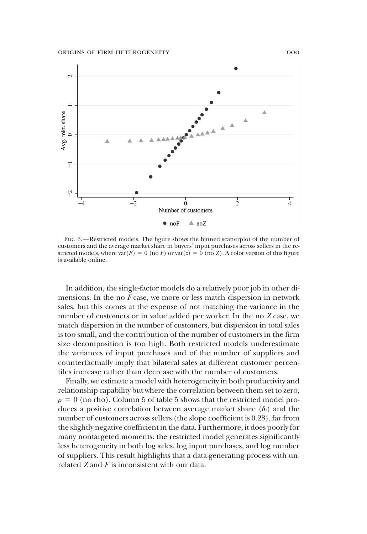

FIG. 6.—Restricted models. The figure shows the binned scatterplot of the number of customers and the average market share in buyers' input purchases across sellers in the restricted models, where  $var(F) = 0$  (no F) or  $var(z) = 0$  (no Z). A color version of this figure is available online.

In addition, the single-factor models do a relatively poor job in other dimensions. In the no  $F$  case, we more or less match dispersion in network sales, but this comes at the expense of not matching the variance in the number of customers or in value added per worker. In the no Z case, we match dispersion in the number of customers, but dispersion in total sales is too small, and the contribution of the number of customers in the firm size decomposition is too high. Both restricted models underestimate the variances of input purchases and of the number of suppliers and counterfactually imply that bilateral sales at different customer percentiles increase rather than decrease with the number of customers.

Finally, we estimate a model with heterogeneity in both productivity and relationship capability but where the correlation between them set to zero,  $\rho = 0$  (no rho). Column 5 of table 5 shows that the restricted model produces a positive correlation between average market share  $(\delta_i)$  and the number of customers across sellers (the slope coefficient is 0.28), far from the slightly negative coefficient in the data. Furthermore, it does poorly for many nontargeted moments: the restricted model generates significantly less heterogeneity in both log sales, log input purchases, and log number of suppliers. This result highlights that a data-generating process with unrelated  $Z$  and  $F$  is inconsistent with our data.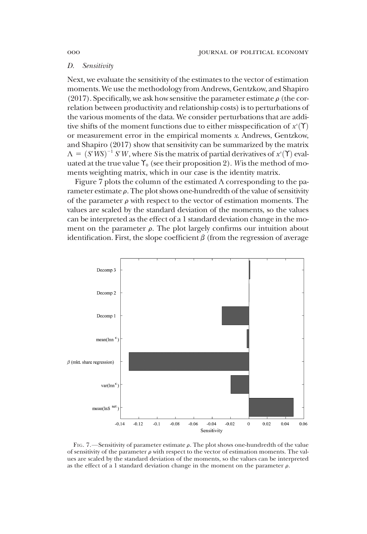# D. Sensitivity

Next, we evaluate the sensitivity of the estimates to the vector of estimation moments. We use the methodology from Andrews, Gentzkow, and Shapiro (2017). Specifically, we ask how sensitive the parameter estimate  $\rho$  (the correlation between productivity and relationship costs) is to perturbations of the various moments of the data. We consider perturbations that are additive shifts of the moment functions due to either misspecification of  $x^s(Y)$ <br>or measurement error in the empirical moments x. Andrews. Gentzkow or measurement error in the empirical moments x. Andrews, Gentzkow, and Shapiro (2017) show that sensitivity can be summarized by the matrix  $\Lambda = (S'WS)^{-1} S'W$ , where S is the matrix of partial derivatives of  $x^{s}(\Upsilon)$  evaluated at the true value  $\Upsilon$ , (see their proposition 2). Wis the method of mouated at the true value  $\Upsilon_0$  (see their proposition 2). Wis the method of moments weighting matrix, which in our case is the identity matrix.

Figure 7 plots the column of the estimated  $\Lambda$  corresponding to the parameter estimate  $\rho$ . The plot shows one-hundredth of the value of sensitivity of the parameter  $\rho$  with respect to the vector of estimation moments. The values are scaled by the standard deviation of the moments, so the values can be interpreted as the effect of a 1 standard deviation change in the moment on the parameter  $\rho$ . The plot largely confirms our intuition about identification. First, the slope coefficient  $\beta$  (from the regression of average



FIG. 7.—Sensitivity of parameter estimate  $\rho$ . The plot shows one-hundredth of the value of sensitivity of the parameter  $\rho$  with respect to the vector of estimation moments. The values are scaled by the standard deviation of the moments, so the values can be interpreted as the effect of a 1 standard deviation change in the moment on the parameter  $\rho$ .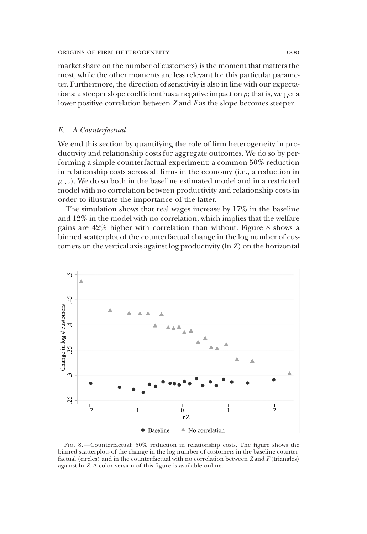market share on the number of customers) is the moment that matters the most, while the other moments are less relevant for this particular parameter. Furthermore, the direction of sensitivity is also in line with our expectations: a steeper slope coefficient has a negative impact on  $\rho$ ; that is, we get a lower positive correlation between Z and F as the slope becomes steeper.

# E. A Counterfactual

We end this section by quantifying the role of firm heterogeneity in productivity and relationship costs for aggregate outcomes. We do so by performing a simple counterfactual experiment: a common 50% reduction in relationship costs across all firms in the economy (i.e., a reduction in  $\mu_{\ln F}$ ). We do so both in the baseline estimated model and in a restricted model with no correlation between productivity and relationship costs in order to illustrate the importance of the latter.

The simulation shows that real wages increase by 17% in the baseline and 12% in the model with no correlation, which implies that the welfare gains are 42% higher with correlation than without. Figure 8 shows a binned scatterplot of the counterfactual change in the log number of customers on the vertical axis against log productivity (ln Z) on the horizontal



FIG. 8.—Counterfactual: 50% reduction in relationship costs. The figure shows the binned scatterplots of the change in the log number of customers in the baseline counterfactual (circles) and in the counterfactual with no correlation between  $Z$  and  $F$  (triangles) against ln Z. A color version of this figure is available online.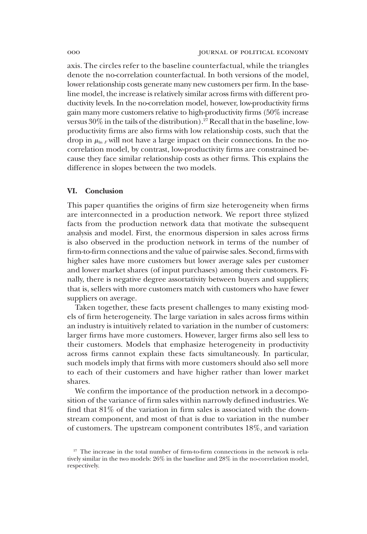axis. The circles refer to the baseline counterfactual, while the triangles denote the no-correlation counterfactual. In both versions of the model, lower relationship costs generate many new customers per firm. In the baseline model, the increase is relatively similar across firms with different productivity levels. In the no-correlation model, however, low-productivity firms gain many more customers relative to high-productivity firms (50% increase versus 30% in the tails of the distribution).<sup>27</sup> Recall that in the baseline, lowproductivity firms are also firms with low relationship costs, such that the drop in  $\mu_{\ln F}$  will not have a large impact on their connections. In the nocorrelation model, by contrast, low-productivity firms are constrained because they face similar relationship costs as other firms. This explains the difference in slopes between the two models.

# VI. Conclusion

This paper quantifies the origins of firm size heterogeneity when firms are interconnected in a production network. We report three stylized facts from the production network data that motivate the subsequent analysis and model. First, the enormous dispersion in sales across firms is also observed in the production network in terms of the number of firm-to-firm connections and the value of pairwise sales. Second, firms with higher sales have more customers but lower average sales per customer and lower market shares (of input purchases) among their customers. Finally, there is negative degree assortativity between buyers and suppliers; that is, sellers with more customers match with customers who have fewer suppliers on average.

Taken together, these facts present challenges to many existing models of firm heterogeneity. The large variation in sales across firms within an industry is intuitively related to variation in the number of customers: larger firms have more customers. However, larger firms also sell less to their customers. Models that emphasize heterogeneity in productivity across firms cannot explain these facts simultaneously. In particular, such models imply that firms with more customers should also sell more to each of their customers and have higher rather than lower market shares.

We confirm the importance of the production network in a decomposition of the variance of firm sales within narrowly defined industries. We find that 81% of the variation in firm sales is associated with the downstream component, and most of that is due to variation in the number of customers. The upstream component contributes 18%, and variation

<sup>&</sup>lt;sup>27</sup> The increase in the total number of firm-to-firm connections in the network is relatively similar in the two models: 26% in the baseline and 28% in the no-correlation model, respectively.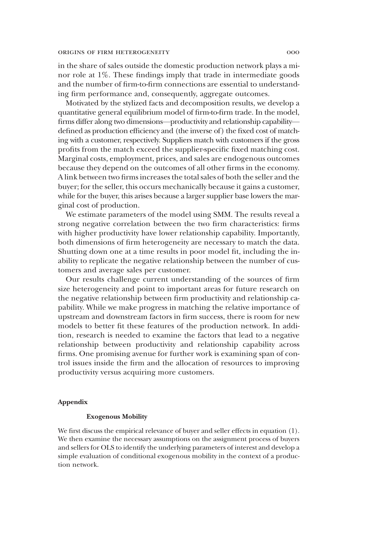in the share of sales outside the domestic production network plays a minor role at 1%. These findings imply that trade in intermediate goods and the number of firm-to-firm connections are essential to understanding firm performance and, consequently, aggregate outcomes.

Motivated by the stylized facts and decomposition results, we develop a quantitative general equilibrium model of firm-to-firm trade. In the model, firms differ along two dimensions—productivity and relationship capability defined as production efficiency and (the inverse of) the fixed cost of matching with a customer, respectively. Suppliers match with customers if the gross profits from the match exceed the supplier-specific fixed matching cost. Marginal costs, employment, prices, and sales are endogenous outcomes because they depend on the outcomes of all other firms in the economy. A link between two firms increases the total sales of both the seller and the buyer; for the seller, this occurs mechanically because it gains a customer, while for the buyer, this arises because a larger supplier base lowers the marginal cost of production.

We estimate parameters of the model using SMM. The results reveal a strong negative correlation between the two firm characteristics: firms with higher productivity have lower relationship capability. Importantly, both dimensions of firm heterogeneity are necessary to match the data. Shutting down one at a time results in poor model fit, including the inability to replicate the negative relationship between the number of customers and average sales per customer.

Our results challenge current understanding of the sources of firm size heterogeneity and point to important areas for future research on the negative relationship between firm productivity and relationship capability. While we make progress in matching the relative importance of upstream and downstream factors in firm success, there is room for new models to better fit these features of the production network. In addition, research is needed to examine the factors that lead to a negative relationship between productivity and relationship capability across firms. One promising avenue for further work is examining span of control issues inside the firm and the allocation of resources to improving productivity versus acquiring more customers.

# Appendix

# Exogenous Mobility

We first discuss the empirical relevance of buyer and seller effects in equation (1). We then examine the necessary assumptions on the assignment process of buyers and sellers for OLS to identify the underlying parameters of interest and develop a simple evaluation of conditional exogenous mobility in the context of a production network.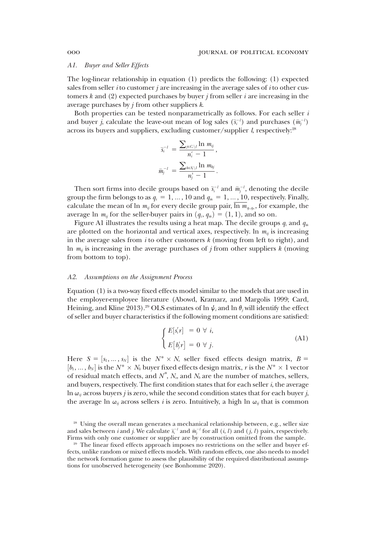#### A1. Buyer and Seller Effects

The log-linear relationship in equation (1) predicts the following: (1) expected sales from seller *i* to customer *j* are increasing in the average sales of *i* to other customers  $k$  and (2) expected purchases by buyer  $j$  from seller  $i$  are increasing in the average purchases by  $j$  from other suppliers  $k$ .

Both properties can be tested nonparametrically as follows. For each seller  $i$ and buyer *j*, calculate the leave-out mean of log sales  $(\bar{s}_i^{-1})$  and purchases  $(\bar{m}_j^{-1})$ across its buyers and suppliers, excluding customer/supplier  $l$ , respectively:<sup>28</sup>

$$
\begin{aligned} \bar{s}_i^{-l} \,&=\, \frac{\sum_{j\in C_i\setminus l}\ln\,m_{ij}}{n_i^\epsilon-1}\,,\\ \bar{m}_j^{-l} \,&=\, \frac{\sum_{k\in S_i\setminus l}\ln\,m_{kj}}{n_j^\epsilon-1}\,. \end{aligned}
$$

Then sort firms into decile groups based on  $\bar{s}_i^{-l}$  and  $\bar{m}_j^{-l}$ , denoting the decile group the firm belongs to as  $q_{\bar{s}} = 1, ..., 10$  and  $q_{\bar{m}} = 1, ..., 10$ , respectively. Finally, calculate the mean of ln  $m_{ij}$  for every decile group pair,  $\overline{\ln m}_{q,\overline{q}_i}$ , for example, the average ln  $m_{ii}$  for the seller-buyer pairs in  $(q_5, q_{\overline{n}}) = (1, 1)$ , and so on.

Figure A1 illustrates the results using a heat map. The decile groups  $q_{\bar{s}}$  and  $q_{\bar{m}}$ are plotted on the horizontal and vertical axes, respectively. In  $m_{ij}$  is increasing in the average sales from  $i$  to other customers  $k$  (moving from left to right), and In  $m_{ij}$  is increasing in the average purchases of j from other suppliers k (moving from bottom to top).

#### A2. Assumptions on the Assignment Process

Equation (1) is a two-way fixed effects model similar to the models that are used in the employer-employee literature (Abowd, Kramarz, and Margolis 1999; Card, Heining, and Kline 2013).<sup>29</sup> OLS estimates of ln  $\psi_i$  and ln  $\theta_i$  will identify the effect of seller and buyer characteristics if the following moment conditions are satisfied:

$$
\begin{cases} E[s'_i r] = 0 \ \forall \ i, \\ E[b'_j r] = 0 \ \forall \ j. \end{cases} \tag{A1}
$$

Here  $S = [s_1, ..., s_N]$  is the  $N^* \times N_s$  seller fixed effects design matrix,  $B = [s_1, ..., s_N]$  is the  $N^* \times N_s$  buyer fixed effects design matrix *x* is the  $N^* \times 1$  vector  $[b_1, ..., b_N]$  is the  $N^* \times N_b$  buyer fixed effects design matrix, r is the  $N^* \times 1$  vector<br>of residual match effects, and  $N^*$  N, and N, are the number of matches, sellers of residual match effects, and  $N^*$ ,  $N_s$ , and  $N_b$  are the number of matches, sellers, and buyers, respectively. The first condition states that for each seller  $i$ , the average In  $\omega_{ij}$  across buyers j is zero, while the second condition states that for each buyer j, the average ln  $\omega_{ij}$  across sellers *i* is zero. Intuitively, a high ln  $\omega_{ij}$  that is common

<sup>28</sup> Using the overall mean generates a mechanical relationship between, e.g., seller size and sales between *i* and *j*. We calculate  $\bar{s}_i^{-l}$  and  $\bar{m}_j^{-l}$  for all  $(i, l)$  and  $(j, l)$  pairs, respectively. Firms with only one customer or supplier are by construction omitted from the sample.

<sup>&</sup>lt;sup>29</sup> The linear fixed effects approach imposes no restrictions on the seller and buyer effects, unlike random or mixed effects models. With random effects, one also needs to model the network formation game to assess the plausibility of the required distributional assumptions for unobserved heterogeneity (see Bonhomme 2020).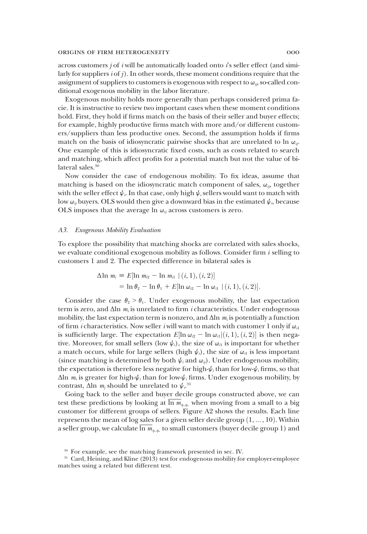across customers *j* of *i* will be automatically loaded onto *i*'s seller effect (and similarly for suppliers  $i$  of  $j$ ). In other words, these moment conditions require that the assignment of suppliers to customers is exogenous with respect to  $\omega_{ii}$ , so-called conditional exogenous mobility in the labor literature.

Exogenous mobility holds more generally than perhaps considered prima facie. It is instructive to review two important cases when these moment conditions hold. First, they hold if firms match on the basis of their seller and buyer effects; for example, highly productive firms match with more and/or different customers/suppliers than less productive ones. Second, the assumption holds if firms match on the basis of idiosyncratic pairwise shocks that are unrelated to ln  $\omega_{ii}$ . One example of this is idiosyncratic fixed costs, such as costs related to search and matching, which affect profits for a potential match but not the value of bilateral sales.<sup>30</sup>

Now consider the case of endogenous mobility. To fix ideas, assume that matching is based on the idiosyncratic match component of sales,  $\omega_{ij}$ , together with the seller effect  $\psi_i$ . In that case, only high  $\psi_i$  sellers would want to match with low  $\omega_{ij}$  buyers. OLS would then give a downward bias in the estimated  $\psi_{ij}$ , because OLS imposes that the average  $\ln \omega_{ij}$  across customers is zero.

## A3. Exogenous Mobility Evaluation

To explore the possibility that matching shocks are correlated with sales shocks, we evaluate conditional exogenous mobility as follows. Consider firm  $i$  selling to customers 1 and 2. The expected difference in bilateral sales is

$$
\Delta \ln m_i \equiv E[\ln m_{i2} - \ln m_{i1} | (i, 1), (i, 2)]
$$
  
=  $\ln \theta_2 - \ln \theta_1 + E[\ln \omega_{i2} - \ln \omega_{i1} | (i, 1), (i, 2)].$ 

Consider the case  $\theta_2 > \theta_1$ . Under exogenous mobility, the last expectation term is zero, and  $\Delta \ln m_i$  is unrelated to firm *i* characteristics. Under endogenous mobility, the last expectation term is nonzero, and  $\Delta$ ln  $m_i$  is potentially a function of firm *i* characteristics. Now seller *i* will want to match with customer 1 only if  $\omega_{i1}$ is sufficiently large. The expectation  $E[\ln \omega_{i2} - \ln \omega_{ii} | (i, 1), (i, 2)]$  is then nega-<br>tive. Moreover, for small sellers (low  $\psi_{\ell}$ ), the size of  $\omega_{i}$  is important for whether tive. Moreover, for small sellers (low  $\psi_i$ ), the size of  $\omega_i$  is important for whether a match occurs, while for large sellers (high  $\psi_i$ ), the size of  $\omega_i$  is less important (since matching is determined by both  $\psi_i$  and  $\omega_{ij}$ ). Under endogenous mobility, the expectation is therefore less negative for high- $\psi_i$  than for low- $\psi_i$  firms, so that  $Δln m<sub>i</sub>$  is greater for high- $ψ<sub>i</sub>$  than for low- $ψ<sub>i</sub>$  firms. Under exogenous mobility, by contrast,  $\Delta$ ln  $m_j$  should be unrelated to  $\psi$ <sup>31</sup>

Going back to the seller and buyer decile groups constructed above, we can test these predictions by looking at  $\ln m_{q_{\alpha},q_{\alpha}}$  when moving from a small to a big customer for different groups of sellers. Figure A2 shows the results. Each line represents the mean of log sales for a given seller decile group  $(1, \ldots, 10)$ . Within a seller group, we calculate  $\overline{\ln m}_{q,q_*}$  to small customers (buyer decile group 1) and

<sup>30</sup> For example, see the matching framework presented in sec. IV.

<sup>&</sup>lt;sup>31</sup> Card, Heining, and Kline (2013) test for endogenous mobility for employer-employee matches using a related but different test.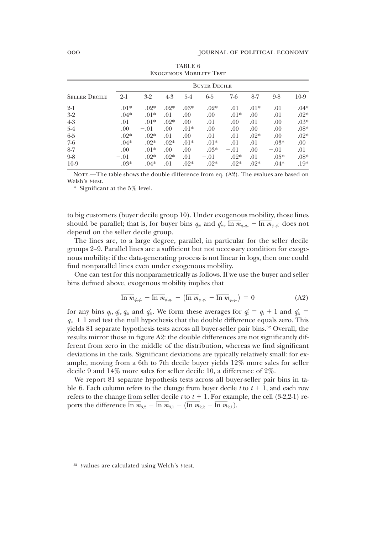| <b>EXOGENOUS MOBILITY TEST</b> |        |                     |        |        |        |        |        |        |         |
|--------------------------------|--------|---------------------|--------|--------|--------|--------|--------|--------|---------|
|                                |        | <b>BUYER DECILE</b> |        |        |        |        |        |        |         |
| <b>SELLER DECILE</b>           | $2-1$  | $3-2$               | $4-3$  | $5-4$  | 6-5    | $7-6$  | $8-7$  | $9-8$  | $10-9$  |
| $2-1$                          | $.01*$ | $.02*$              | $.02*$ | $.03*$ | $.02*$ | .01    | $.01*$ | .01    | $-.04*$ |
| $3-2$                          | $.04*$ | $.01*$              | .01    | .00    | .00    | $.01*$ | .00    | .01    | $.02*$  |
| $4-3$                          | .01    | $.01*$              | $.02*$ | .00    | .01    | .00.   | .01    | .00    | $.03*$  |
| $5-4$                          | .00.   | $-.01$              | .00.   | $.01*$ | .00.   | .00.   | .00    | .00    | $.08*$  |
| $6-5$                          | $.02*$ | $.02*$              | .01    | .00    | .01    | .01    | $.02*$ | .00.   | $.02*$  |
| $7-6$                          | $.04*$ | $.02*$              | $.02*$ | $.01*$ | $.01*$ | .01    | .01    | $.03*$ | .00     |
| $8 - 7$                        | .00.   | $.01*$              | .00.   | .00.   | $.03*$ | $-.01$ | .00    | $-.01$ | .01     |
| $9-8$                          | $-.01$ | $.02*$              | $.02*$ | .01    | $-.01$ | $.02*$ | .01    | $.05*$ | $.08*$  |
| $10-9$                         | $.03*$ | $.04*$              | .01    | $.02*$ | $.02*$ | $.02*$ | $.02*$ | $.04*$ | $.19*$  |

TABLE 6 Exogenous Mobility Test

NOTE.—The table shows the double difference from eq.  $(A2)$ . The t-values are based on Welsh's *t*-test.

\* Significant at the 5% level.

to big customers (buyer decile group 10). Under exogenous mobility, those lines should be parallel; that is, for buyer bins  $q_{\bar m}$  and  $q'_{\bar m}$ , ln  $m_{q_i,q_a} - \ln m_{q_i,q'_a}$  does not depend on the seller decile group.

The lines are, to a large degree, parallel, in particular for the seller decile groups 2–9. Parallel lines are a sufficient but not necessary condition for exogenous mobility: if the data-generating process is not linear in logs, then one could find nonparallel lines even under exogenous mobility.

One can test for this nonparametrically as follows. If we use the buyer and seller bins defined above, exogenous mobility implies that

$$
\overline{\ln m}_{q_i,q_n} - \overline{\ln m}_{q_i,q_n} - (\overline{\ln m}_{q_i,q_n} - \overline{\ln m}_{q_i,q_n}) = 0
$$
\n(A2)

for any bins  $q_s$ ,  $q'_s$ ,  $q_{\bar{m}}$  and  $q'_{\bar{m}}$ . We form these averages for  $q'_s = q_s + 1$  and  $q'_{\bar{m}} =$  $q_{\bar{m}}$  + 1 and test the null hypothesis that the double difference equals zero. This yields 81 separate hypothesis tests across all buyer-seller pair bins.<sup>32</sup> Overall, the results mirror those in figure A2: the double differences are not significantly different from zero in the middle of the distribution, whereas we find significant deviations in the tails. Significant deviations are typically relatively small: for example, moving from a 6th to 7th decile buyer yields 12% more sales for seller decile 9 and 14% more sales for seller decile 10, a difference of 2%.

We report 81 separate hypothesis tests across all buyer-seller pair bins in table 6. Each column refers to the change from buyer decile t to  $t + 1$ , and each row refers to the change from seller decile t to  $t + 1$ . For example, the cell (3-2,2-1) reports the difference  $\overline{\ln m}_{3,2} - \overline{\ln m}_{3,1} - (\overline{\ln m}_{2,2} - \overline{\ln m}_{2,1}).$ 

 $32$  t-values are calculated using Welch's t-test.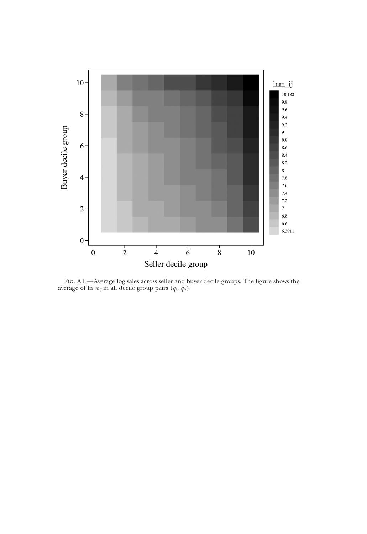

FIG. A1.—Average log sales across seller and buyer decile groups. The figure shows the average of ln  $m_{ij}$  in all decile group pairs  $(q_{\bar{s}}, q_{\bar{m}})$ .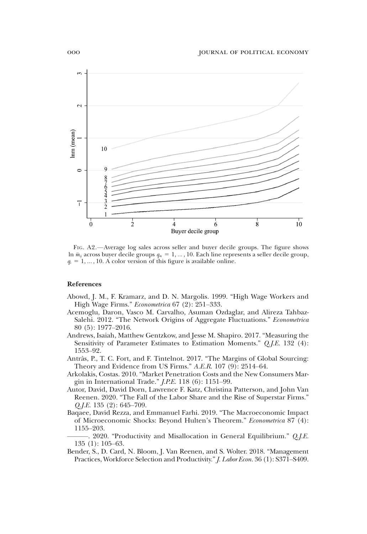

FIG. A2.—Average log sales across seller and buyer decile groups. The figure shows ln  $\bar{m}_{ii}$  across buyer decile groups  $q_{\bar{m}} = 1, ..., 10$ . Each line represents a seller decile group,  $q_{\bar{s}} = 1, ..., 10$ . A color version of this figure is available online.

#### References

- Abowd, J. M., F. Kramarz, and D. N. Margolis. 1999. "High Wage Workers and High Wage Firms." Econometrica 67 (2): 251–333.
- Acemoglu, Daron, Vasco M. Carvalho, Asuman Ozdaglar, and Alireza Tahbaz-Salehi. 2012. "The Network Origins of Aggregate Fluctuations." Econometrica 80 (5): 1977–2016.
- Andrews, Isaiah, Matthew Gentzkow, and Jesse M. Shapiro. 2017. "Measuring the Sensitivity of Parameter Estimates to Estimation Moments." Q.J.E. 132 (4): 1553–92.
- Antràs, P., T. C. Fort, and F. Tintelnot. 2017. "The Margins of Global Sourcing: Theory and Evidence from US Firms." A.E.R. 107 (9): 2514–64.
- Arkolakis, Costas. 2010. "Market Penetration Costs and the New Consumers Margin in International Trade." J.P.E. 118 (6): 1151–99.
- Autor, David, David Dorn, Lawrence F. Katz, Christina Patterson, and John Van Reenen. 2020. "The Fall of the Labor Share and the Rise of Superstar Firms."  $Q.I.E. 135 (2): 645-709.$
- Baqaee, David Rezza, and Emmanuel Farhi. 2019. "The Macroeconomic Impact of Microeconomic Shocks: Beyond Hulten's Theorem." Econometrica 87 (4): 1155–203.
- . 2020. "Productivity and Misallocation in General Equilibrium." *Q.J.E.* 135 (1): 105–63.
- Bender, S., D. Card, N. Bloom, J. Van Reenen, and S. Wolter. 2018. "Management Practices, Workforce Selection and Productivity."J. Labor Econ. 36 (1): S371–S409.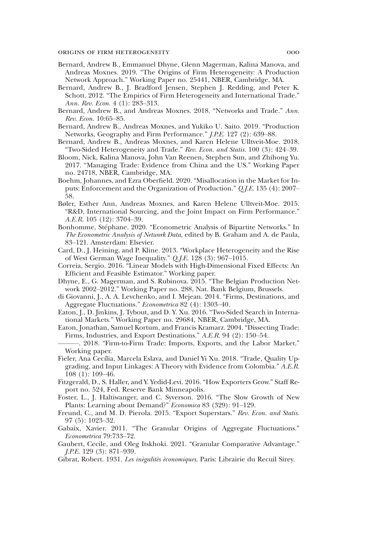- Bernard, Andrew B., Emmanuel Dhyne, Glenn Magerman, Kalina Manova, and Andreas Moxnes. 2019. "The Origins of Firm Heterogeneity: A Production Network Approach." Working Paper no. 25441, NBER, Cambridge, MA.
- Bernard, Andrew B., J. Bradford Jensen, Stephen J. Redding, and Peter K. Schott. 2012. "The Empirics of Firm Heterogeneity and International Trade." Ann. Rev. Econ. 4 (1): 283–313.
- Bernard, Andrew B., and Andreas Moxnes. 2018. "Networks and Trade." Ann. Rev. Econ. 10:65–85.
- Bernard, Andrew B., Andreas Moxnes, and Yukiko U. Saito. 2019. "Production Networks, Geography and Firm Performance." J.P.E. 127 (2): 639–88.
- Bernard, Andrew B., Andreas Moxnes, and Karen Helene Ulltveit-Moe. 2018. "Two-Sided Heterogeneity and Trade." Rev. Econ. and Statis. 100 (3): 424–39.
- Bloom, Nick, Kalina Manova, John Van Reenen, Stephen Sun, and Zhihong Yu. 2017. "Managing Trade: Evidence from China and the US." Working Paper no. 24718, NBER, Cambridge, MA.
- Boehm, Johannes, and Ezra Oberfield. 2020. "Misallocation in the Market for Inputs: Enforcement and the Organization of Production." Q.J.E. 135 (4): 2007– 58.
- Bøler, Esther Ann, Andreas Moxnes, and Karen Helene Ulltveit-Moe. 2015. "R&D, International Sourcing, and the Joint Impact on Firm Performance." A.E.R. 105 (12): 3704–39.
- Bonhomme, Stéphane. 2020. "Econometric Analysis of Bipartite Networks." In The Econometric Analysis of Network Data, edited by B. Graham and A. de Paula, 83–121. Amsterdam: Elsevier.
- Card, D., J. Heining, and P. Kline. 2013. "Workplace Heterogeneity and the Rise of West German Wage Inequality." Q.J.E. 128 (3): 967–1015.
- Correia, Sergio. 2016. "Linear Models with High-Dimensional Fixed Effects: An Efficient and Feasible Estimator." Working paper.
- Dhyne, E., G. Magerman, and S. Rubinova. 2015. "The Belgian Production Network 2002–2012." Working Paper no. 288, Nat. Bank Belgium, Brussels.
- di Giovanni, J., A. A. Levchenko, and I. Mejean. 2014. "Firms, Destinations, and Aggregate Fluctuations." Econometrica 82 (4): 1303–40.
- Eaton, J., D. Jinkins, J. Tybout, and D. Y. Xu. 2016. "Two-Sided Search in International Markets." Working Paper no. 29684, NBER, Cambridge, MA.
- Eaton, Jonathan, Samuel Kortum, and Francis Kramarz. 2004. "Dissecting Trade: Firms, Industries, and Export Destinations." A.E.R. 94 (2): 150–54.
- ———. 2018. "Firm-to-Firm Trade: Imports, Exports, and the Labor Market." Working paper.
- Fieler, Ana Cecília, Marcela Eslava, and Daniel Yi Xu. 2018. "Trade, Quality Upgrading, and Input Linkages: A Theory with Evidence from Colombia." A.E.R. 108 (1): 109–46.
- Fitzgerald, D., S. Haller, and Y. Yedid-Levi. 2016. "How Exporters Grow." Staff Report no. 524, Fed. Reserve Bank Minneapolis.
- Foster, L., J. Haltiwanger, and C. Syverson. 2016. "The Slow Growth of New Plants: Learning about Demand?" Economica 83 (329): 91–129.
- Freund, C., and M. D. Pierola. 2015. "Export Superstars." Rev. Econ. and Statis. 97 (5): 1023–32.
- Gabaix, Xavier. 2011. "The Granular Origins of Aggregate Fluctuations." Econometrica 79:733–72.
- Gaubert, Cecile, and Oleg Itskhoki. 2021. "Granular Comparative Advantage." J.P.E. 129 (3): 871–939.
- Gibrat, Robert. 1931. Les inègalitès èconomiques. Paris: Librairie du Recuil Sirey.